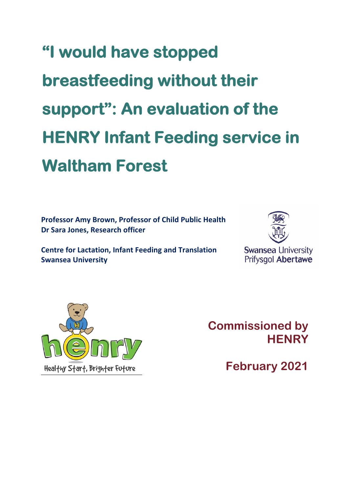# **"I would have stopped breastfeeding without their support": An evaluation of the HENRY Infant Feeding service in Waltham Forest**

**Professor Amy Brown, Professor of Child Public Health Dr Sara Jones, Research officer**

**Centre for Lactation, Infant Feeding and Translation Swansea University**





**Commissioned by HENRY**

**February 2021**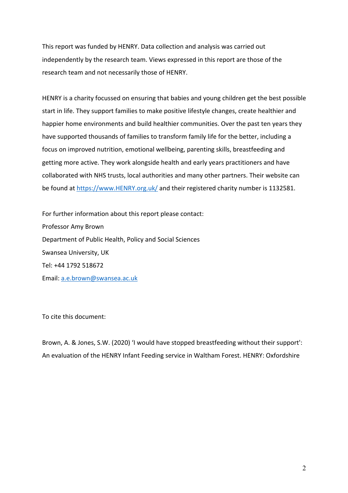This report was funded by HENRY. Data collection and analysis was carried out independently by the research team. Views expressed in this report are those of the research team and not necessarily those of HENRY.

HENRY is a charity focussed on ensuring that babies and young children get the best possible start in life. They support families to make positive lifestyle changes, create healthier and happier home environments and build healthier communities. Over the past ten years they have supported thousands of families to transform family life for the better, including a focus on improved nutrition, emotional wellbeing, parenting skills, breastfeeding and getting more active. They work alongside health and early years practitioners and have collaborated with NHS trusts, local authorities and many other partners. Their website can be found at https://www.HENRY.org.uk/ and their registered charity number is 1132581.

For further information about this report please contact: Professor Amy Brown Department of Public Health, Policy and Social Sciences Swansea University, UK Tel: +44 1792 518672 Email: a.e.brown@swansea.ac.uk

To cite this document:

Brown, A. & Jones, S.W. (2020) 'I would have stopped breastfeeding without their support': An evaluation of the HENRY Infant Feeding service in Waltham Forest. HENRY: Oxfordshire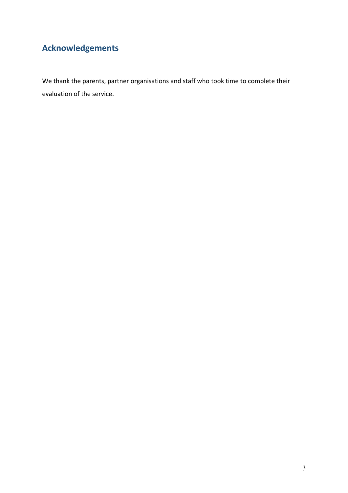# **Acknowledgements**

We thank the parents, partner organisations and staff who took time to complete their evaluation of the service.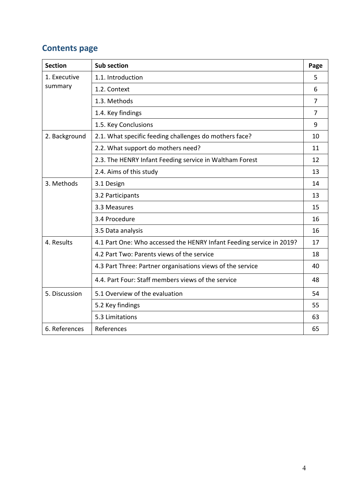# **Contents page**

| <b>Section</b> | <b>Sub section</b>                                                   | Page           |
|----------------|----------------------------------------------------------------------|----------------|
| 1. Executive   | 1.1. Introduction                                                    | 5              |
| summary        | 1.2. Context                                                         | 6              |
|                | 1.3. Methods                                                         | 7              |
|                | 1.4. Key findings                                                    | $\overline{7}$ |
|                | 1.5. Key Conclusions                                                 | 9              |
| 2. Background  | 2.1. What specific feeding challenges do mothers face?               | 10             |
|                | 2.2. What support do mothers need?                                   | 11             |
|                | 2.3. The HENRY Infant Feeding service in Waltham Forest              | 12             |
|                | 2.4. Aims of this study                                              | 13             |
| 3. Methods     | 3.1 Design                                                           | 14             |
|                | 3.2 Participants                                                     | 13             |
|                | 3.3 Measures                                                         | 15             |
|                | 3.4 Procedure                                                        | 16             |
|                | 3.5 Data analysis                                                    | 16             |
| 4. Results     | 4.1 Part One: Who accessed the HENRY Infant Feeding service in 2019? | 17             |
|                | 4.2 Part Two: Parents views of the service                           | 18             |
|                | 4.3 Part Three: Partner organisations views of the service           | 40             |
|                | 4.4. Part Four: Staff members views of the service                   | 48             |
| 5. Discussion  | 5.1 Overview of the evaluation                                       | 54             |
|                | 5.2 Key findings                                                     | 55             |
|                | 5.3 Limitations                                                      | 63             |
| 6. References  | References                                                           | 65             |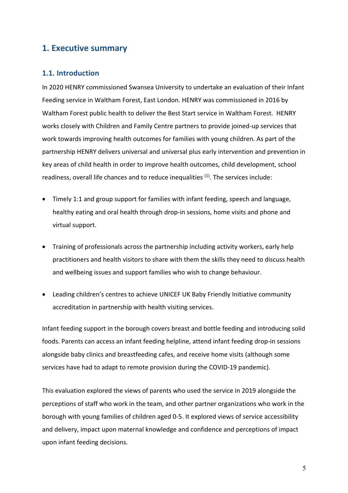#### **1. Executive summary**

#### **1.1. Introduction**

In 2020 HENRY commissioned Swansea University to undertake an evaluation of their Infant Feeding service in Waltham Forest, East London. HENRY was commissioned in 2016 by Waltham Forest public health to deliver the Best Start service in Waltham Forest. HENRY works closely with Children and Family Centre partners to provide joined-up services that work towards improving health outcomes for families with young children. As part of the partnership HENRY delivers universal and universal plus early intervention and prevention in key areas of child health in order to improve health outcomes, child development, school readiness, overall life chances and to reduce inequalities  $(1)$ . The services include:

- Timely 1:1 and group support for families with infant feeding, speech and language, healthy eating and oral health through drop-in sessions, home visits and phone and virtual support.
- Training of professionals across the partnership including activity workers, early help practitioners and health visitors to share with them the skills they need to discuss health and wellbeing issues and support families who wish to change behaviour.
- Leading children's centres to achieve UNICEF UK Baby Friendly Initiative community accreditation in partnership with health visiting services.

Infant feeding support in the borough covers breast and bottle feeding and introducing solid foods. Parents can access an infant feeding helpline, attend infant feeding drop-in sessions alongside baby clinics and breastfeeding cafes, and receive home visits (although some services have had to adapt to remote provision during the COVID-19 pandemic).

This evaluation explored the views of parents who used the service in 2019 alongside the perceptions of staff who work in the team, and other partner organizations who work in the borough with young families of children aged 0-5. It explored views of service accessibility and delivery, impact upon maternal knowledge and confidence and perceptions of impact upon infant feeding decisions.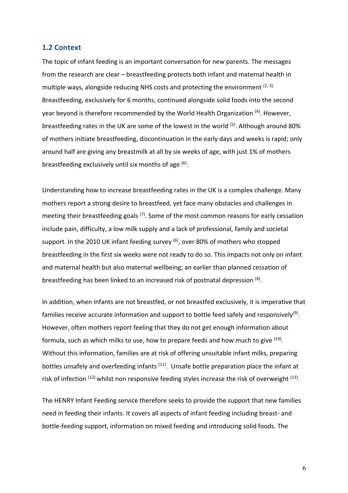#### **1.2 Context**

The topic of infant feeding is an important conversation for new parents. The messages from the research are clear – breastfeeding protects both infant and maternal health in multiple ways, alongside reducing NHS costs and protecting the environment  $(2, 3)$ . Breastfeeding, exclusively for 6 months, continued alongside solid foods into the second year beyond is therefore recommended by the World Health Organization <sup>(4)</sup>. However, breastfeeding rates in the UK are some of the lowest in the world (5). Although around 80% of mothers initiate breastfeeding, discontinuation in the early days and weeks is rapid; only around half are giving any breastmilk at all by six weeks of age, with just 1% of mothers breastfeeding exclusively until six months of age  $^{(6)}$ .

Understanding how to increase breastfeeding rates in the UK is a complex challenge. Many mothers report a strong desire to breastfeed, yet face many obstacles and challenges in meeting their breastfeeding goals  $(7)$ . Some of the most common reasons for early cessation include pain, difficulty, a low milk supply and a lack of professional, family and societal support. In the 2010 UK infant feeding survey  $(6)$ , over 80% of mothers who stopped breastfeeding in the first six weeks were not ready to do so. This impacts not only on infant and maternal health but also maternal wellbeing; an earlier than planned cessation of breastfeeding has been linked to an increased risk of postnatal depression (8).

In addition, when infants are not breastfed, or not breastfed exclusively, it is imperative that families receive accurate information and support to bottle feed safely and responsively<sup>(9)</sup>. However, often mothers report feeling that they do not get enough information about formula, such as which milks to use, how to prepare feeds and how much to give (10). Without this information, families are at risk of offering unsuitable infant milks, preparing bottles unsafely and overfeeding infants <sup>(11)</sup>. Unsafe bottle preparation place the infant at risk of infection  $(12)$  whilst non responsive feeding styles increase the risk of overweight  $(13)$ .

The HENRY Infant Feeding service therefore seeks to provide the support that new families need in feeding their infants. It covers all aspects of infant feeding including breast- and bottle-feeding support, information on mixed feeding and introducing solid foods. The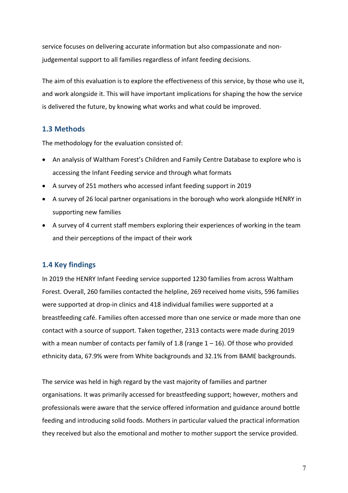service focuses on delivering accurate information but also compassionate and nonjudgemental support to all families regardless of infant feeding decisions.

The aim of this evaluation is to explore the effectiveness of this service, by those who use it, and work alongside it. This will have important implications for shaping the how the service is delivered the future, by knowing what works and what could be improved.

#### **1.3 Methods**

The methodology for the evaluation consisted of:

- An analysis of Waltham Forest's Children and Family Centre Database to explore who is accessing the Infant Feeding service and through what formats
- A survey of 251 mothers who accessed infant feeding support in 2019
- A survey of 26 local partner organisations in the borough who work alongside HENRY in supporting new families
- A survey of 4 current staff members exploring their experiences of working in the team and their perceptions of the impact of their work

#### **1.4 Key findings**

In 2019 the HENRY Infant Feeding service supported 1230 families from across Waltham Forest. Overall, 260 families contacted the helpline, 269 received home visits, 596 families were supported at drop-in clinics and 418 individual families were supported at a breastfeeding café. Families often accessed more than one service or made more than one contact with a source of support. Taken together, 2313 contacts were made during 2019 with a mean number of contacts per family of 1.8 (range  $1 - 16$ ). Of those who provided ethnicity data, 67.9% were from White backgrounds and 32.1% from BAME backgrounds.

The service was held in high regard by the vast majority of families and partner organisations. It was primarily accessed for breastfeeding support; however, mothers and professionals were aware that the service offered information and guidance around bottle feeding and introducing solid foods. Mothers in particular valued the practical information they received but also the emotional and mother to mother support the service provided.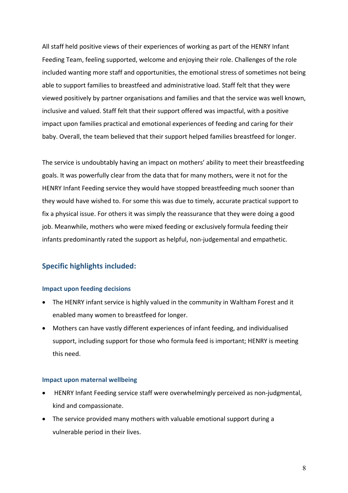All staff held positive views of their experiences of working as part of the HENRY Infant Feeding Team, feeling supported, welcome and enjoying their role. Challenges of the role included wanting more staff and opportunities, the emotional stress of sometimes not being able to support families to breastfeed and administrative load. Staff felt that they were viewed positively by partner organisations and families and that the service was well known, inclusive and valued. Staff felt that their support offered was impactful, with a positive impact upon families practical and emotional experiences of feeding and caring for their baby. Overall, the team believed that their support helped families breastfeed for longer.

The service is undoubtably having an impact on mothers' ability to meet their breastfeeding goals. It was powerfully clear from the data that for many mothers, were it not for the HENRY Infant Feeding service they would have stopped breastfeeding much sooner than they would have wished to. For some this was due to timely, accurate practical support to fix a physical issue. For others it was simply the reassurance that they were doing a good job. Meanwhile, mothers who were mixed feeding or exclusively formula feeding their infants predominantly rated the support as helpful, non-judgemental and empathetic.

#### **Specific highlights included:**

#### **Impact upon feeding decisions**

- The HENRY infant service is highly valued in the community in Waltham Forest and it enabled many women to breastfeed for longer.
- Mothers can have vastly different experiences of infant feeding, and individualised support, including support for those who formula feed is important; HENRY is meeting this need.

#### **Impact upon maternal wellbeing**

- HENRY Infant Feeding service staff were overwhelmingly perceived as non-judgmental, kind and compassionate.
- The service provided many mothers with valuable emotional support during a vulnerable period in their lives.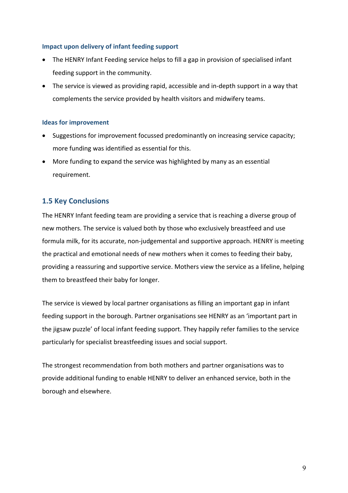#### **Impact upon delivery of infant feeding support**

- The HENRY Infant Feeding service helps to fill a gap in provision of specialised infant feeding support in the community.
- The service is viewed as providing rapid, accessible and in-depth support in a way that complements the service provided by health visitors and midwifery teams.

#### **Ideas for improvement**

- Suggestions for improvement focussed predominantly on increasing service capacity; more funding was identified as essential for this.
- More funding to expand the service was highlighted by many as an essential requirement.

#### **1.5 Key Conclusions**

The HENRY Infant feeding team are providing a service that is reaching a diverse group of new mothers. The service is valued both by those who exclusively breastfeed and use formula milk, for its accurate, non-judgemental and supportive approach. HENRY is meeting the practical and emotional needs of new mothers when it comes to feeding their baby, providing a reassuring and supportive service. Mothers view the service as a lifeline, helping them to breastfeed their baby for longer.

The service is viewed by local partner organisations as filling an important gap in infant feeding support in the borough. Partner organisations see HENRY as an 'important part in the jigsaw puzzle' of local infant feeding support. They happily refer families to the service particularly for specialist breastfeeding issues and social support.

The strongest recommendation from both mothers and partner organisations was to provide additional funding to enable HENRY to deliver an enhanced service, both in the borough and elsewhere.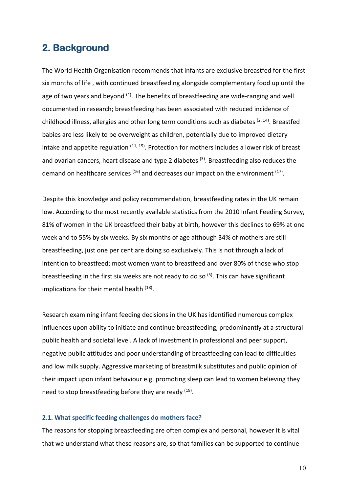### **2. Background**

The World Health Organisation recommends that infants are exclusive breastfed for the first six months of life , with continued breastfeeding alongside complementary food up until the age of two years and beyond  $(4)$ . The benefits of breastfeeding are wide-ranging and well documented in research; breastfeeding has been associated with reduced incidence of childhood illness, allergies and other long term conditions such as diabetes  $(2, 14)$ . Breastfed babies are less likely to be overweight as children, potentially due to improved dietary intake and appetite regulation  $(11, 15)$ . Protection for mothers includes a lower risk of breast and ovarian cancers, heart disease and type 2 diabetes  $(3)$ . Breastfeeding also reduces the demand on healthcare services  $(16)$  and decreases our impact on the environment  $(17)$ .

Despite this knowledge and policy recommendation, breastfeeding rates in the UK remain low. According to the most recently available statistics from the 2010 Infant Feeding Survey, 81% of women in the UK breastfeed their baby at birth, however this declines to 69% at one week and to 55% by six weeks. By six months of age although 34% of mothers are still breastfeeding, just one per cent are doing so exclusively. This is not through a lack of intention to breastfeed; most women want to breastfeed and over 80% of those who stop breastfeeding in the first six weeks are not ready to do so  $(5)$ . This can have significant implications for their mental health <sup>(18)</sup>.

Research examining infant feeding decisions in the UK has identified numerous complex influences upon ability to initiate and continue breastfeeding, predominantly at a structural public health and societal level. A lack of investment in professional and peer support, negative public attitudes and poor understanding of breastfeeding can lead to difficulties and low milk supply. Aggressive marketing of breastmilk substitutes and public opinion of their impact upon infant behaviour e.g. promoting sleep can lead to women believing they need to stop breastfeeding before they are ready  $(19)$ .

#### **2.1. What specific feeding challenges do mothers face?**

The reasons for stopping breastfeeding are often complex and personal, however it is vital that we understand what these reasons are, so that families can be supported to continue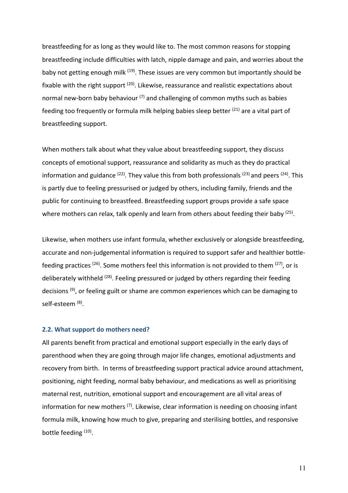breastfeeding for as long as they would like to. The most common reasons for stopping breastfeeding include difficulties with latch, nipple damage and pain, and worries about the baby not getting enough milk <sup>(19)</sup>. These issues are very common but importantly should be fixable with the right support  $(20)$ . Likewise, reassurance and realistic expectations about normal new-born baby behaviour  $(7)$  and challenging of common myths such as babies feeding too frequently or formula milk helping babies sleep better  $(21)$  are a vital part of breastfeeding support.

When mothers talk about what they value about breastfeeding support, they discuss concepts of emotional support, reassurance and solidarity as much as they do practical information and guidance  $(22)$ . They value this from both professionals  $(23)$  and peers  $(24)$ . This is partly due to feeling pressurised or judged by others, including family, friends and the public for continuing to breastfeed. Breastfeeding support groups provide a safe space where mothers can relax, talk openly and learn from others about feeding their baby  $(25)$ .

Likewise, when mothers use infant formula, whether exclusively or alongside breastfeeding, accurate and non-judgemental information is required to support safer and healthier bottlefeeding practices  $(26)$ . Some mothers feel this information is not provided to them  $(27)$ , or is deliberately withheld <sup>(28)</sup>. Feeling pressured or judged by others regarding their feeding decisions<sup>(9)</sup>, or feeling guilt or shame are common experiences which can be damaging to self-esteem (8).

#### **2.2. What support do mothers need?**

All parents benefit from practical and emotional support especially in the early days of parenthood when they are going through major life changes, emotional adjustments and recovery from birth. In terms of breastfeeding support practical advice around attachment, positioning, night feeding, normal baby behaviour, and medications as well as prioritising maternal rest, nutrition, emotional support and encouragement are all vital areas of information for new mothers  $(7)$ . Likewise, clear information is needing on choosing infant formula milk, knowing how much to give, preparing and sterilising bottles, and responsive bottle feeding (10).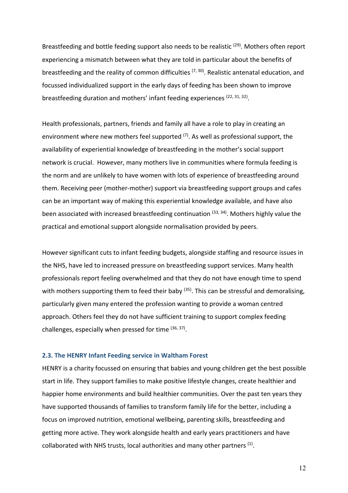Breastfeeding and bottle feeding support also needs to be realistic  $(29)$ . Mothers often report experiencing a mismatch between what they are told in particular about the benefits of breastfeeding and the reality of common difficulties  $(7, 30)$ . Realistic antenatal education, and focussed individualized support in the early days of feeding has been shown to improve breastfeeding duration and mothers' infant feeding experiences  $(22, 31, 32)$ .

Health professionals, partners, friends and family all have a role to play in creating an environment where new mothers feel supported  $(7)$ . As well as professional support, the availability of experiential knowledge of breastfeeding in the mother's social support network is crucial. However, many mothers live in communities where formula feeding is the norm and are unlikely to have women with lots of experience of breastfeeding around them. Receiving peer (mother-mother) support via breastfeeding support groups and cafes can be an important way of making this experiential knowledge available, and have also been associated with increased breastfeeding continuation  $(33, 34)$ . Mothers highly value the practical and emotional support alongside normalisation provided by peers.

However significant cuts to infant feeding budgets, alongside staffing and resource issues in the NHS, have led to increased pressure on breastfeeding support services. Many health professionals report feeling overwhelmed and that they do not have enough time to spend with mothers supporting them to feed their baby <sup>(35)</sup>. This can be stressful and demoralising, particularly given many entered the profession wanting to provide a woman centred approach. Others feel they do not have sufficient training to support complex feeding challenges, especially when pressed for time  $(36, 37)$ .

#### **2.3. The HENRY Infant Feeding service in Waltham Forest**

HENRY is a charity focussed on ensuring that babies and young children get the best possible start in life. They support families to make positive lifestyle changes, create healthier and happier home environments and build healthier communities. Over the past ten years they have supported thousands of families to transform family life for the better, including a focus on improved nutrition, emotional wellbeing, parenting skills, breastfeeding and getting more active. They work alongside health and early years practitioners and have collaborated with NHS trusts, local authorities and many other partners <sup>(1)</sup>.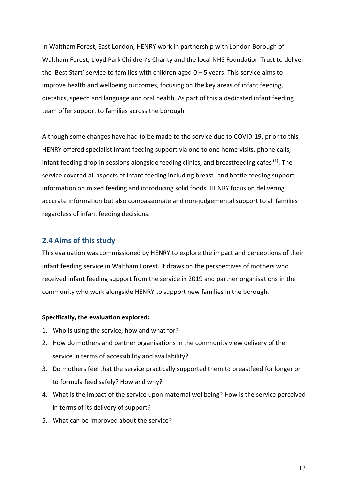In Waltham Forest, East London, HENRY work in partnership with London Borough of Waltham Forest, Lloyd Park Children's Charity and the local NHS Foundation Trust to deliver the 'Best Start' service to families with children aged 0 – 5 years. This service aims to improve health and wellbeing outcomes, focusing on the key areas of infant feeding, dietetics, speech and language and oral health. As part of this a dedicated infant feeding team offer support to families across the borough.

Although some changes have had to be made to the service due to COVID-19, prior to this HENRY offered specialist infant feeding support via one to one home visits, phone calls, infant feeding drop-in sessions alongside feeding clinics, and breastfeeding cafes <sup>(1)</sup>. The service covered all aspects of infant feeding including breast- and bottle-feeding support, information on mixed feeding and introducing solid foods. HENRY focus on delivering accurate information but also compassionate and non-judgemental support to all families regardless of infant feeding decisions.

#### **2.4 Aims of this study**

This evaluation was commissioned by HENRY to explore the impact and perceptions of their infant feeding service in Waltham Forest. It draws on the perspectives of mothers who received infant feeding support from the service in 2019 and partner organisations in the community who work alongside HENRY to support new families in the borough.

#### **Specifically, the evaluation explored:**

- 1. Who is using the service, how and what for?
- 2. How do mothers and partner organisations in the community view delivery of the service in terms of accessibility and availability?
- 3. Do mothers feel that the service practically supported them to breastfeed for longer or to formula feed safely? How and why?
- 4. What is the impact of the service upon maternal wellbeing? How is the service perceived in terms of its delivery of support?
- 5. What can be improved about the service?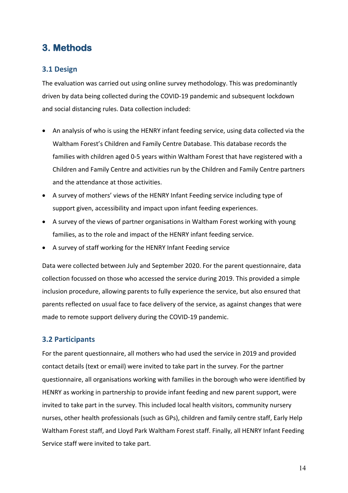# **3. Methods**

#### **3.1 Design**

The evaluation was carried out using online survey methodology. This was predominantly driven by data being collected during the COVID-19 pandemic and subsequent lockdown and social distancing rules. Data collection included:

- An analysis of who is using the HENRY infant feeding service, using data collected via the Waltham Forest's Children and Family Centre Database. This database records the families with children aged 0-5 years within Waltham Forest that have registered with a Children and Family Centre and activities run by the Children and Family Centre partners and the attendance at those activities.
- A survey of mothers' views of the HENRY Infant Feeding service including type of support given, accessibility and impact upon infant feeding experiences.
- A survey of the views of partner organisations in Waltham Forest working with young families, as to the role and impact of the HENRY infant feeding service.
- A survey of staff working for the HENRY Infant Feeding service

Data were collected between July and September 2020. For the parent questionnaire, data collection focussed on those who accessed the service during 2019. This provided a simple inclusion procedure, allowing parents to fully experience the service, but also ensured that parents reflected on usual face to face delivery of the service, as against changes that were made to remote support delivery during the COVID-19 pandemic.

#### **3.2 Participants**

For the parent questionnaire, all mothers who had used the service in 2019 and provided contact details (text or email) were invited to take part in the survey. For the partner questionnaire, all organisations working with families in the borough who were identified by HENRY as working in partnership to provide infant feeding and new parent support, were invited to take part in the survey. This included local health visitors, community nursery nurses, other health professionals (such as GPs), children and family centre staff, Early Help Waltham Forest staff, and Lloyd Park Waltham Forest staff. Finally, all HENRY Infant Feeding Service staff were invited to take part.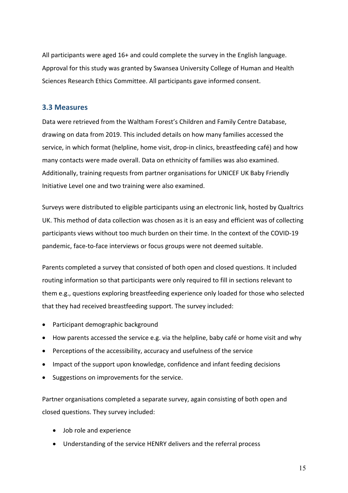All participants were aged 16+ and could complete the survey in the English language. Approval for this study was granted by Swansea University College of Human and Health Sciences Research Ethics Committee. All participants gave informed consent.

#### **3.3 Measures**

Data were retrieved from the Waltham Forest's Children and Family Centre Database, drawing on data from 2019. This included details on how many families accessed the service, in which format (helpline, home visit, drop-in clinics, breastfeeding café) and how many contacts were made overall. Data on ethnicity of families was also examined. Additionally, training requests from partner organisations for UNICEF UK Baby Friendly Initiative Level one and two training were also examined.

Surveys were distributed to eligible participants using an electronic link, hosted by Qualtrics UK. This method of data collection was chosen as it is an easy and efficient was of collecting participants views without too much burden on their time. In the context of the COVID-19 pandemic, face-to-face interviews or focus groups were not deemed suitable.

Parents completed a survey that consisted of both open and closed questions. It included routing information so that participants were only required to fill in sections relevant to them e.g., questions exploring breastfeeding experience only loaded for those who selected that they had received breastfeeding support. The survey included:

- Participant demographic background
- How parents accessed the service e.g. via the helpline, baby café or home visit and why
- Perceptions of the accessibility, accuracy and usefulness of the service
- Impact of the support upon knowledge, confidence and infant feeding decisions
- Suggestions on improvements for the service.

Partner organisations completed a separate survey, again consisting of both open and closed questions. They survey included:

- Job role and experience
- Understanding of the service HENRY delivers and the referral process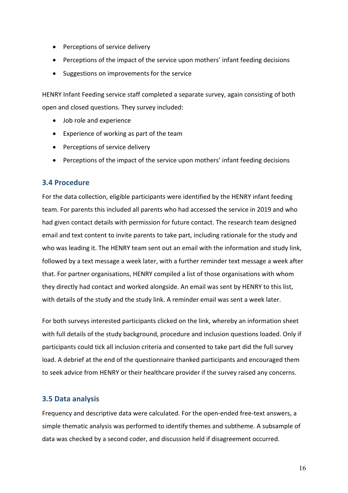- Perceptions of service delivery
- Perceptions of the impact of the service upon mothers' infant feeding decisions
- Suggestions on improvements for the service

HENRY Infant Feeding service staff completed a separate survey, again consisting of both open and closed questions. They survey included:

- Job role and experience
- Experience of working as part of the team
- Perceptions of service delivery
- Perceptions of the impact of the service upon mothers' infant feeding decisions

#### **3.4 Procedure**

For the data collection, eligible participants were identified by the HENRY infant feeding team. For parents this included all parents who had accessed the service in 2019 and who had given contact details with permission for future contact. The research team designed email and text content to invite parents to take part, including rationale for the study and who was leading it. The HENRY team sent out an email with the information and study link, followed by a text message a week later, with a further reminder text message a week after that. For partner organisations, HENRY compiled a list of those organisations with whom they directly had contact and worked alongside. An email was sent by HENRY to this list, with details of the study and the study link. A reminder email was sent a week later.

For both surveys interested participants clicked on the link, whereby an information sheet with full details of the study background, procedure and inclusion questions loaded. Only if participants could tick all inclusion criteria and consented to take part did the full survey load. A debrief at the end of the questionnaire thanked participants and encouraged them to seek advice from HENRY or their healthcare provider if the survey raised any concerns.

#### **3.5 Data analysis**

Frequency and descriptive data were calculated. For the open-ended free-text answers, a simple thematic analysis was performed to identify themes and subtheme. A subsample of data was checked by a second coder, and discussion held if disagreement occurred.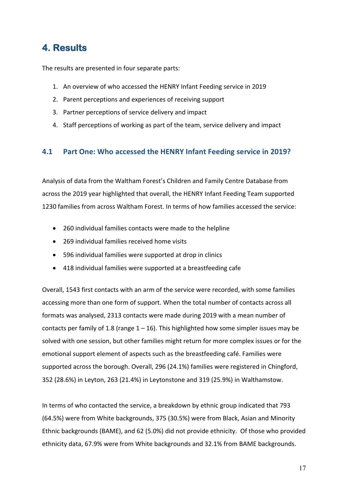# **4. Results**

The results are presented in four separate parts:

- 1. An overview of who accessed the HENRY Infant Feeding service in 2019
- 2. Parent perceptions and experiences of receiving support
- 3. Partner perceptions of service delivery and impact
- 4. Staff perceptions of working as part of the team, service delivery and impact

#### **4.1 Part One: Who accessed the HENRY Infant Feeding service in 2019?**

Analysis of data from the Waltham Forest's Children and Family Centre Database from across the 2019 year highlighted that overall, the HENRY Infant Feeding Team supported 1230 families from across Waltham Forest. In terms of how families accessed the service:

- 260 individual families contacts were made to the helpline
- 269 individual families received home visits
- 596 individual families were supported at drop in clinics
- 418 individual families were supported at a breastfeeding cafe

Overall, 1543 first contacts with an arm of the service were recorded, with some families accessing more than one form of support. When the total number of contacts across all formats was analysed, 2313 contacts were made during 2019 with a mean number of contacts per family of 1.8 (range  $1 - 16$ ). This highlighted how some simpler issues may be solved with one session, but other families might return for more complex issues or for the emotional support element of aspects such as the breastfeeding café. Families were supported across the borough. Overall, 296 (24.1%) families were registered in Chingford, 352 (28.6%) in Leyton, 263 (21.4%) in Leytonstone and 319 (25.9%) in Walthamstow.

In terms of who contacted the service, a breakdown by ethnic group indicated that 793 (64.5%) were from White backgrounds, 375 (30.5%) were from Black, Asian and Minority Ethnic backgrounds (BAME), and 62 (5.0%) did not provide ethnicity. Of those who provided ethnicity data, 67.9% were from White backgrounds and 32.1% from BAME backgrounds.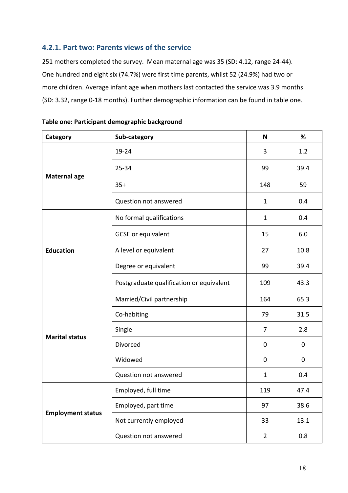#### **4.2.1. Part two: Parents views of the service**

251 mothers completed the survey. Mean maternal age was 35 (SD: 4.12, range 24-44). One hundred and eight six (74.7%) were first time parents, whilst 52 (24.9%) had two or more children. Average infant age when mothers last contacted the service was 3.9 months (SD: 3.32, range 0-18 months). Further demographic information can be found in table one.

| Category                 | Sub-category                             | N              | %           |
|--------------------------|------------------------------------------|----------------|-------------|
|                          | 19-24                                    | 3              | 1.2         |
|                          | 25-34                                    | 99             | 39.4        |
| <b>Maternal age</b>      | $35+$                                    | 148            | 59          |
|                          | Question not answered                    | $\mathbf{1}$   | 0.4         |
|                          | No formal qualifications                 | $\mathbf{1}$   | 0.4         |
|                          | <b>GCSE</b> or equivalent                | 15             | 6.0         |
| <b>Education</b>         | A level or equivalent                    | 27             | 10.8        |
|                          | Degree or equivalent                     | 99             | 39.4        |
|                          | Postgraduate qualification or equivalent | 109            | 43.3        |
|                          | Married/Civil partnership                | 164            | 65.3        |
|                          | Co-habiting                              | 79             | 31.5        |
|                          | Single                                   | $\overline{7}$ | 2.8         |
| <b>Marital status</b>    | Divorced                                 | 0              | $\mathbf 0$ |
|                          | Widowed                                  | 0              | $\mathbf 0$ |
|                          | Question not answered                    | $\mathbf{1}$   | 0.4         |
|                          | Employed, full time                      | 119            | 47.4        |
|                          | Employed, part time                      | 97             | 38.6        |
| <b>Employment status</b> | Not currently employed                   | 33             | 13.1        |
|                          | Question not answered                    | $\overline{2}$ | 0.8         |

| Table one: Participant demographic background |  |  |
|-----------------------------------------------|--|--|
|-----------------------------------------------|--|--|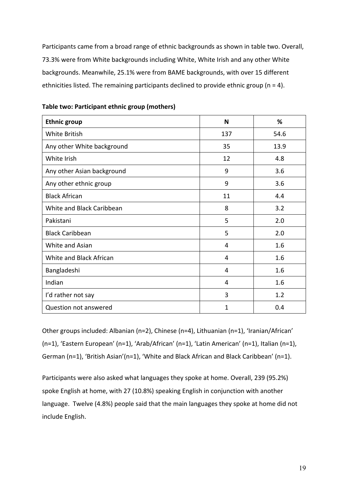Participants came from a broad range of ethnic backgrounds as shown in table two. Overall, 73.3% were from White backgrounds including White, White Irish and any other White backgrounds. Meanwhile, 25.1% were from BAME backgrounds, with over 15 different ethnicities listed. The remaining participants declined to provide ethnic group (n = 4).

| <b>Ethnic group</b>        | N   | %    |
|----------------------------|-----|------|
| White British              | 137 | 54.6 |
| Any other White background | 35  | 13.9 |
| White Irish                | 12  | 4.8  |
| Any other Asian background | 9   | 3.6  |
| Any other ethnic group     | 9   | 3.6  |
| <b>Black African</b>       | 11  | 4.4  |
| White and Black Caribbean  | 8   | 3.2  |
| Pakistani                  | 5   | 2.0  |
| <b>Black Caribbean</b>     | 5   | 2.0  |
| White and Asian            | 4   | 1.6  |
| White and Black African    | 4   | 1.6  |
| Bangladeshi                | 4   | 1.6  |
| Indian                     | 4   | 1.6  |
| I'd rather not say         | 3   | 1.2  |
| Question not answered      | 1   | 0.4  |

#### **Table two: Participant ethnic group (mothers)**

Other groups included: Albanian (n=2), Chinese (n=4), Lithuanian (n=1), 'Iranian/African' (n=1), 'Eastern European' (n=1), 'Arab/African' (n=1), 'Latin American' (n=1), Italian (n=1), German (n=1), 'British Asian'(n=1), 'White and Black African and Black Caribbean' (n=1).

Participants were also asked what languages they spoke at home. Overall, 239 (95.2%) spoke English at home, with 27 (10.8%) speaking English in conjunction with another language. Twelve (4.8%) people said that the main languages they spoke at home did not include English.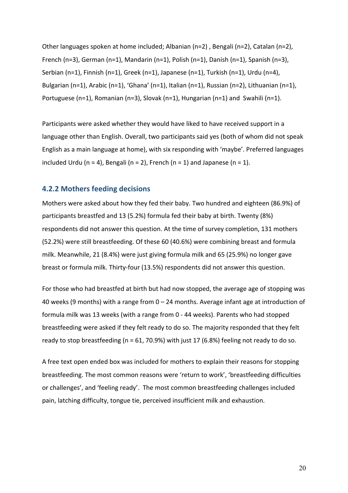Other languages spoken at home included; Albanian (n=2) , Bengali (n=2), Catalan (n=2), French (n=3), German (n=1), Mandarin (n=1), Polish (n=1), Danish (n=1), Spanish (n=3), Serbian (n=1), Finnish (n=1), Greek (n=1), Japanese (n=1), Turkish (n=1), Urdu (n=4), Bulgarian (n=1), Arabic (n=1), 'Ghana' (n=1), Italian (n=1), Russian (n=2), Lithuanian (n=1), Portuguese (n=1), Romanian (n=3), Slovak (n=1), Hungarian (n=1) and Swahili (n=1).

Participants were asked whether they would have liked to have received support in a language other than English. Overall, two participants said yes (both of whom did not speak English as a main language at home), with six responding with 'maybe'. Preferred languages included Urdu (n = 4), Bengali (n = 2), French (n = 1) and Japanese (n = 1).

#### **4.2.2 Mothers feeding decisions**

Mothers were asked about how they fed their baby. Two hundred and eighteen (86.9%) of participants breastfed and 13 (5.2%) formula fed their baby at birth. Twenty (8%) respondents did not answer this question. At the time of survey completion, 131 mothers (52.2%) were still breastfeeding. Of these 60 (40.6%) were combining breast and formula milk. Meanwhile, 21 (8.4%) were just giving formula milk and 65 (25.9%) no longer gave breast or formula milk. Thirty-four (13.5%) respondents did not answer this question.

For those who had breastfed at birth but had now stopped, the average age of stopping was 40 weeks (9 months) with a range from 0 – 24 months. Average infant age at introduction of formula milk was 13 weeks (with a range from 0 - 44 weeks). Parents who had stopped breastfeeding were asked if they felt ready to do so. The majority responded that they felt ready to stop breastfeeding ( $n = 61$ , 70.9%) with just 17 (6.8%) feeling not ready to do so.

A free text open ended box was included for mothers to explain their reasons for stopping breastfeeding. The most common reasons were 'return to work', 'breastfeeding difficulties or challenges', and 'feeling ready'. The most common breastfeeding challenges included pain, latching difficulty, tongue tie, perceived insufficient milk and exhaustion.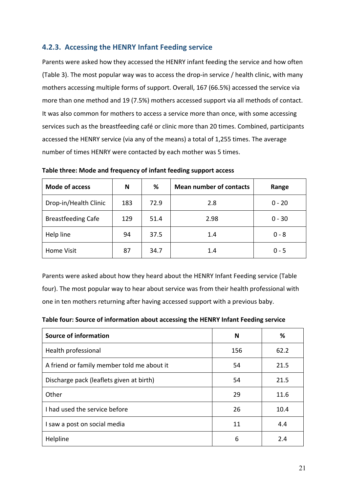#### **4.2.3. Accessing the HENRY Infant Feeding service**

Parents were asked how they accessed the HENRY infant feeding the service and how often (Table 3). The most popular way was to access the drop-in service / health clinic, with many mothers accessing multiple forms of support. Overall, 167 (66.5%) accessed the service via more than one method and 19 (7.5%) mothers accessed support via all methods of contact. It was also common for mothers to access a service more than once, with some accessing services such as the breastfeeding café or clinic more than 20 times. Combined, participants accessed the HENRY service (via any of the means) a total of 1,255 times. The average number of times HENRY were contacted by each mother was 5 times.

| <b>Mode of access</b>     | N   | %    | <b>Mean number of contacts</b> | Range    |
|---------------------------|-----|------|--------------------------------|----------|
| Drop-in/Health Clinic     | 183 | 72.9 | 2.8                            | $0 - 20$ |
| <b>Breastfeeding Cafe</b> | 129 | 51.4 | 2.98                           | $0 - 30$ |
| Help line                 | 94  | 37.5 | 1.4                            | $0 - 8$  |
| <b>Home Visit</b>         | 87  | 34.7 | 1.4                            | $0 - 5$  |

**Table three: Mode and frequency of infant feeding support access** 

Parents were asked about how they heard about the HENRY Infant Feeding service (Table four). The most popular way to hear about service was from their health professional with one in ten mothers returning after having accessed support with a previous baby.

**Table four: Source of information about accessing the HENRY Infant Feeding service** 

| <b>Source of information</b>               | N   | %    |
|--------------------------------------------|-----|------|
| Health professional                        | 156 | 62.2 |
| A friend or family member told me about it | 54  | 21.5 |
| Discharge pack (leaflets given at birth)   | 54  | 21.5 |
| Other                                      | 29  | 11.6 |
| I had used the service before              | 26  | 10.4 |
| I saw a post on social media               | 11  | 4.4  |
| Helpline                                   | 6   | 2.4  |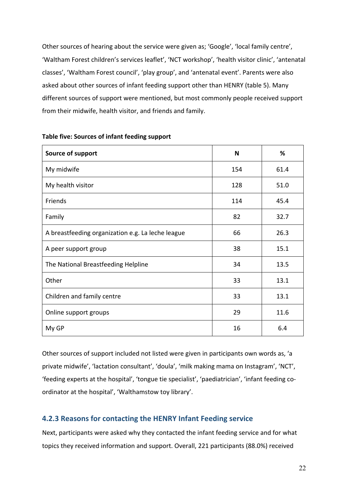Other sources of hearing about the service were given as; 'Google', 'local family centre', 'Waltham Forest children's services leaflet', 'NCT workshop', 'health visitor clinic', 'antenatal classes', 'Waltham Forest council', 'play group', and 'antenatal event'. Parents were also asked about other sources of infant feeding support other than HENRY (table 5). Many different sources of support were mentioned, but most commonly people received support from their midwife, health visitor, and friends and family.

| Source of support                                 | N   | %    |
|---------------------------------------------------|-----|------|
| My midwife                                        | 154 | 61.4 |
| My health visitor                                 | 128 | 51.0 |
| Friends                                           | 114 | 45.4 |
| Family                                            | 82  | 32.7 |
| A breastfeeding organization e.g. La leche league | 66  | 26.3 |
| A peer support group                              | 38  | 15.1 |
| The National Breastfeeding Helpline               | 34  | 13.5 |
| Other                                             | 33  | 13.1 |
| Children and family centre                        | 33  | 13.1 |
| Online support groups                             | 29  | 11.6 |
| My GP                                             | 16  | 6.4  |

#### **Table five: Sources of infant feeding support**

Other sources of support included not listed were given in participants own words as, 'a private midwife', 'lactation consultant', 'doula', 'milk making mama on Instagram', 'NCT', 'feeding experts at the hospital', 'tongue tie specialist', 'paediatrician', 'infant feeding coordinator at the hospital', 'Walthamstow toy library'.

#### **4.2.3 Reasons for contacting the HENRY Infant Feeding service**

Next, participants were asked why they contacted the infant feeding service and for what topics they received information and support. Overall, 221 participants (88.0%) received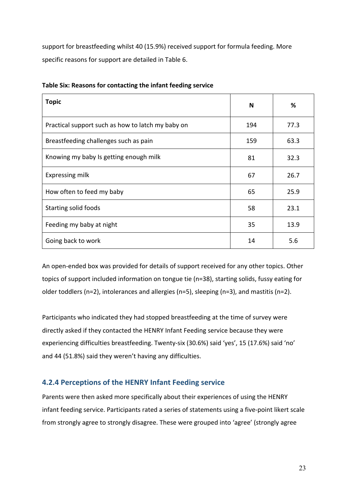support for breastfeeding whilst 40 (15.9%) received support for formula feeding. More specific reasons for support are detailed in Table 6.

| <b>Topic</b>                                      | N   | %    |
|---------------------------------------------------|-----|------|
| Practical support such as how to latch my baby on | 194 | 77.3 |
| Breastfeeding challenges such as pain             | 159 | 63.3 |
| Knowing my baby Is getting enough milk            | 81  | 32.3 |
| Expressing milk                                   | 67  | 26.7 |
| How often to feed my baby                         | 65  | 25.9 |
| <b>Starting solid foods</b>                       | 58  | 23.1 |
| Feeding my baby at night                          | 35  | 13.9 |
| Going back to work                                | 14  | 5.6  |

|  |  |  |  | Table Six: Reasons for contacting the infant feeding service |
|--|--|--|--|--------------------------------------------------------------|
|--|--|--|--|--------------------------------------------------------------|

An open-ended box was provided for details of support received for any other topics. Other topics of support included information on tongue tie (n=38), starting solids, fussy eating for older toddlers (n=2), intolerances and allergies (n=5), sleeping (n=3), and mastitis (n=2).

Participants who indicated they had stopped breastfeeding at the time of survey were directly asked if they contacted the HENRY Infant Feeding service because they were experiencing difficulties breastfeeding. Twenty-six (30.6%) said 'yes', 15 (17.6%) said 'no' and 44 (51.8%) said they weren't having any difficulties.

#### **4.2.4 Perceptions of the HENRY Infant Feeding service**

Parents were then asked more specifically about their experiences of using the HENRY infant feeding service. Participants rated a series of statements using a five-point likert scale from strongly agree to strongly disagree. These were grouped into 'agree' (strongly agree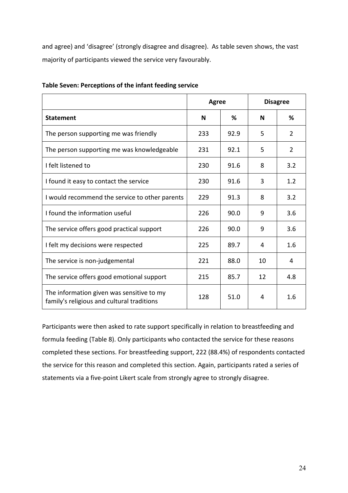and agree) and 'disagree' (strongly disagree and disagree). As table seven shows, the vast majority of participants viewed the service very favourably.

|                                                                                         | <b>Agree</b> |      |    | <b>Disagree</b> |
|-----------------------------------------------------------------------------------------|--------------|------|----|-----------------|
| <b>Statement</b>                                                                        | N            | ℅    | N  | ℅               |
| The person supporting me was friendly                                                   | 233          | 92.9 | 5  | 2               |
| The person supporting me was knowledgeable                                              | 231          | 92.1 | 5  | 2               |
| I felt listened to                                                                      | 230          | 91.6 | 8  | 3.2             |
| I found it easy to contact the service                                                  | 230          | 91.6 | 3  | 1.2             |
| I would recommend the service to other parents                                          | 229          | 91.3 | 8  | 3.2             |
| I found the information useful                                                          | 226          | 90.0 | 9  | 3.6             |
| The service offers good practical support                                               | 226          | 90.0 | 9  | 3.6             |
| I felt my decisions were respected                                                      | 225          | 89.7 | 4  | 1.6             |
| The service is non-judgemental                                                          | 221          | 88.0 | 10 | 4               |
| The service offers good emotional support                                               | 215          | 85.7 | 12 | 4.8             |
| The information given was sensitive to my<br>family's religious and cultural traditions | 128          | 51.0 | 4  | 1.6             |

#### **Table Seven: Perceptions of the infant feeding service**

Participants were then asked to rate support specifically in relation to breastfeeding and formula feeding (Table 8). Only participants who contacted the service for these reasons completed these sections. For breastfeeding support, 222 (88.4%) of respondents contacted the service for this reason and completed this section. Again, participants rated a series of statements via a five-point Likert scale from strongly agree to strongly disagree.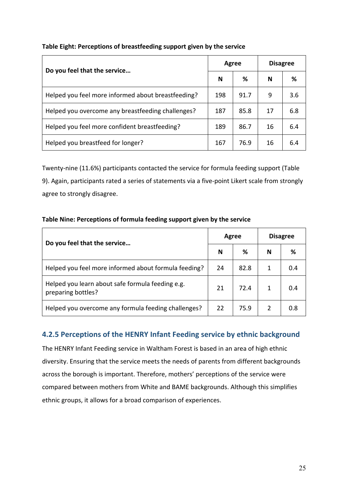#### **Table Eight: Perceptions of breastfeeding support given by the service**

| Do you feel that the service                       |     | Agree | <b>Disagree</b> |     |
|----------------------------------------------------|-----|-------|-----------------|-----|
|                                                    |     | ℅     | N               | ℅   |
| Helped you feel more informed about breastfeeding? | 198 | 91.7  | 9               | 3.6 |
| Helped you overcome any breastfeeding challenges?  | 187 | 85.8  | 17              | 6.8 |
| Helped you feel more confident breastfeeding?      | 189 | 86.7  | 16              | 6.4 |
| Helped you breastfeed for longer?                  | 167 | 76.9  | 16              | 6.4 |

Twenty-nine (11.6%) participants contacted the service for formula feeding support (Table 9). Again, participants rated a series of statements via a five-point Likert scale from strongly agree to strongly disagree.

# **Do you feel that the service… Agree Disagree N % N %** Helped you feel more informed about formula feeding? 24 82.8 1 0.4 Helped you learn about safe formula feeding e.g. preparing bottles? <sup>21</sup> 72.4 <sup>1</sup> 0.4 Helped you overcome any formula feeding challenges? 22 75.9 2 0.8

#### **Table Nine: Perceptions of formula feeding support given by the service**

#### **4.2.5 Perceptions of the HENRY Infant Feeding service by ethnic background**

The HENRY Infant Feeding service in Waltham Forest is based in an area of high ethnic diversity. Ensuring that the service meets the needs of parents from different backgrounds across the borough is important. Therefore, mothers' perceptions of the service were compared between mothers from White and BAME backgrounds. Although this simplifies ethnic groups, it allows for a broad comparison of experiences.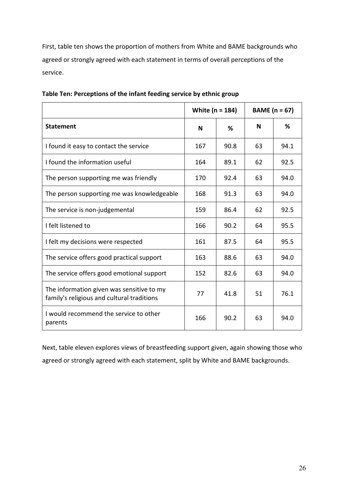First, table ten shows the proportion of mothers from White and BAME backgrounds who agreed or strongly agreed with each statement in terms of overall perceptions of the service.

|                                                                                         | White (n = 184) |      |    | BAME ( $n = 67$ ) |
|-----------------------------------------------------------------------------------------|-----------------|------|----|-------------------|
| <b>Statement</b>                                                                        | N               | %    | N  | ℅                 |
| I found it easy to contact the service                                                  | 167             | 90.8 | 63 | 94.1              |
| I found the information useful                                                          | 164             | 89.1 | 62 | 92.5              |
| The person supporting me was friendly                                                   | 170             | 92.4 | 63 | 94.0              |
| The person supporting me was knowledgeable                                              | 168             | 91.3 | 63 | 94.0              |
| The service is non-judgemental                                                          | 159             | 86.4 | 62 | 92.5              |
| I felt listened to                                                                      | 166             | 90.2 | 64 | 95.5              |
| I felt my decisions were respected                                                      | 161             | 87.5 | 64 | 95.5              |
| The service offers good practical support                                               | 163             | 88.6 | 63 | 94.0              |
| The service offers good emotional support                                               | 152             | 82.6 | 63 | 94.0              |
| The information given was sensitive to my<br>family's religious and cultural traditions | 77              | 41.8 | 51 | 76.1              |
| I would recommend the service to other<br>parents                                       | 166             | 90.2 | 63 | 94.0              |

|  |  |  | Table Ten: Perceptions of the infant feeding service by ethnic group |
|--|--|--|----------------------------------------------------------------------|
|--|--|--|----------------------------------------------------------------------|

Next, table eleven explores views of breastfeeding support given, again showing those who agreed or strongly agreed with each statement, split by White and BAME backgrounds.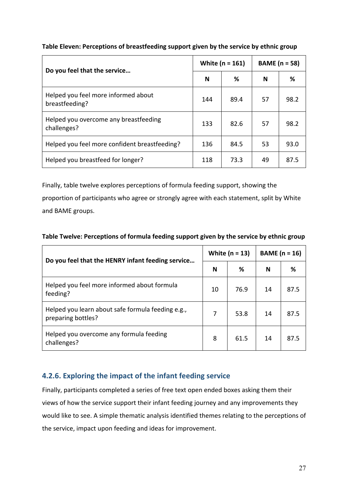#### **Table Eleven: Perceptions of breastfeeding support given by the service by ethnic group**

| Do you feel that the service                          |     | White ( $n = 161$ ) | <b>BAME</b> (n = 58) |      |  |
|-------------------------------------------------------|-----|---------------------|----------------------|------|--|
|                                                       | N   | ℅                   | N                    | %    |  |
| Helped you feel more informed about<br>breastfeeding? | 144 | 89.4                | 57                   | 98.2 |  |
| Helped you overcome any breastfeeding<br>challenges?  | 133 | 82.6                | 57                   | 98.2 |  |
| Helped you feel more confident breastfeeding?         | 136 | 84.5                | 53                   | 93.0 |  |
| Helped you breastfeed for longer?                     | 118 | 73.3                | 49                   | 87.5 |  |

Finally, table twelve explores perceptions of formula feeding support, showing the proportion of participants who agree or strongly agree with each statement, split by White and BAME groups.

| Table Twelve: Perceptions of formula feeding support given by the service by ethnic group |  |  |
|-------------------------------------------------------------------------------------------|--|--|
|-------------------------------------------------------------------------------------------|--|--|

| Do you feel that the HENRY infant feeding service                       | White $(n = 13)$ |      | BAME $(n = 16)$ |      |
|-------------------------------------------------------------------------|------------------|------|-----------------|------|
|                                                                         |                  | ℅    | N               | %    |
| Helped you feel more informed about formula<br>feeding?                 | 10               | 76.9 | 14              | 87.5 |
| Helped you learn about safe formula feeding e.g.,<br>preparing bottles? | 7                | 53.8 | 14              | 87.5 |
| Helped you overcome any formula feeding<br>challenges?                  | 8                | 61.5 | 14              | 87.5 |

#### **4.2.6. Exploring the impact of the infant feeding service**

Finally, participants completed a series of free text open ended boxes asking them their views of how the service support their infant feeding journey and any improvements they would like to see. A simple thematic analysis identified themes relating to the perceptions of the service, impact upon feeding and ideas for improvement.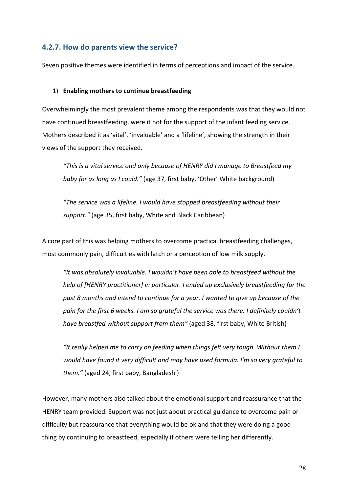#### **4.2.7. How do parents view the service?**

Seven positive themes were identified in terms of perceptions and impact of the service.

#### 1) **Enabling mothers to continue breastfeeding**

Overwhelmingly the most prevalent theme among the respondents was that they would not have continued breastfeeding, were it not for the support of the infant feeding service. Mothers described it as 'vital', 'invaluable' and a 'lifeline', showing the strength in their views of the support they received.

*"This is a vital service and only because of HENRY did I manage to Breastfeed my baby for as long as I could."* (age 37, first baby, 'Other' White background)

*"The service was a lifeline. I would have stopped breastfeeding without their support."* (age 35, first baby, White and Black Caribbean)

A core part of this was helping mothers to overcome practical breastfeeding challenges, most commonly pain, difficulties with latch or a perception of low milk supply.

*"It was absolutely invaluable. I wouldn't have been able to breastfeed without the help of [HENRY practitioner] in particular. I ended up exclusively breastfeeding for the past 8 months and intend to continue for a year. I wanted to give up because of the pain for the first 6 weeks. I am so grateful the service was there. I definitely couldn't have breastfed without support from them"* (aged 38, first baby, White British)

*"It really helped me to carry on feeding when things felt very tough. Without them I would have found it very difficult and may have used formula. I'm so very grateful to them."* (aged 24, first baby, Bangladeshi)

However, many mothers also talked about the emotional support and reassurance that the HENRY team provided. Support was not just about practical guidance to overcome pain or difficulty but reassurance that everything would be ok and that they were doing a good thing by continuing to breastfeed, especially if others were telling her differently.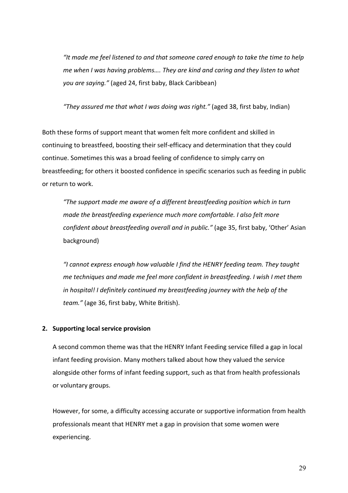*"It made me feel listened to and that someone cared enough to take the time to help me when I was having problems…. They are kind and caring and they listen to what you are saying."* (aged 24, first baby, Black Caribbean)

*"They assured me that what I was doing was right."* (aged 38, first baby, Indian)

Both these forms of support meant that women felt more confident and skilled in continuing to breastfeed, boosting their self-efficacy and determination that they could continue. Sometimes this was a broad feeling of confidence to simply carry on breastfeeding; for others it boosted confidence in specific scenarios such as feeding in public or return to work.

*"The support made me aware of a different breastfeeding position which in turn made the breastfeeding experience much more comfortable. I also felt more confident about breastfeeding overall and in public."* (age 35, first baby, 'Other' Asian background)

*"I cannot express enough how valuable I find the HENRY feeding team. They taught me techniques and made me feel more confident in breastfeeding. I wish I met them*  in hospital! I definitely continued my breastfeeding journey with the help of the *team."* (age 36, first baby, White British).

#### **2. Supporting local service provision**

A second common theme was that the HENRY Infant Feeding service filled a gap in local infant feeding provision. Many mothers talked about how they valued the service alongside other forms of infant feeding support, such as that from health professionals or voluntary groups.

However, for some, a difficulty accessing accurate or supportive information from health professionals meant that HENRY met a gap in provision that some women were experiencing.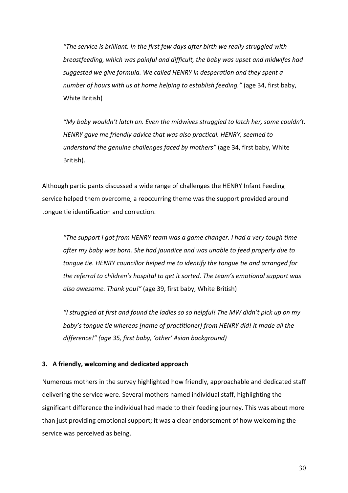*"The service is brilliant. In the first few days after birth we really struggled with breastfeeding, which was painful and difficult, the baby was upset and midwifes had suggested we give formula. We called HENRY in desperation and they spent a number of hours with us at home helping to establish feeding."* (age 34, first baby, White British)

*"My baby wouldn't latch on. Even the midwives struggled to latch her, some couldn't. HENRY gave me friendly advice that was also practical. HENRY, seemed to understand the genuine challenges faced by mothers"* (age 34, first baby, White British).

Although participants discussed a wide range of challenges the HENRY Infant Feeding service helped them overcome, a reoccurring theme was the support provided around tongue tie identification and correction.

*"The support I got from HENRY team was a game changer. I had a very tough time after my baby was born. She had jaundice and was unable to feed properly due to tongue tie. HENRY councillor helped me to identify the tongue tie and arranged for the referral to children's hospital to get it sorted. The team's emotional support was also awesome. Thank you!"* (age 39, first baby, White British)

*"I struggled at first and found the ladies so so helpful! The MW didn't pick up on my baby's tongue tie whereas [name of practitioner] from HENRY did! It made all the difference!" (age 35, first baby, 'other' Asian background)*

#### **3. A friendly, welcoming and dedicated approach**

Numerous mothers in the survey highlighted how friendly, approachable and dedicated staff delivering the service were. Several mothers named individual staff, highlighting the significant difference the individual had made to their feeding journey. This was about more than just providing emotional support; it was a clear endorsement of how welcoming the service was perceived as being.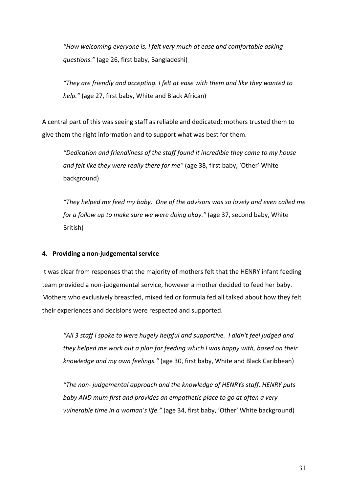*"How welcoming everyone is, I felt very much at ease and comfortable asking questions."* (age 26, first baby, Bangladeshi)

*"They are friendly and accepting. I felt at ease with them and like they wanted to help."* (age 27, first baby, White and Black African)

A central part of this was seeing staff as reliable and dedicated; mothers trusted them to give them the right information and to support what was best for them.

*"Dedication and friendliness of the staff found it incredible they came to my house and felt like they were really there for me"* (age 38, first baby, 'Other' White background)

*"They helped me feed my baby. One of the advisors was so lovely and even called me for a follow up to make sure we were doing okay."* (age 37, second baby, White British)

#### **4. Providing a non-judgemental service**

It was clear from responses that the majority of mothers felt that the HENRY infant feeding team provided a non-judgemental service, however a mother decided to feed her baby. Mothers who exclusively breastfed, mixed fed or formula fed all talked about how they felt their experiences and decisions were respected and supported.

*"All 3 staff I spoke to were hugely helpful and supportive. I didn't feel judged and they helped me work out a plan for feeding which I was happy with, based on their knowledge and my own feelings."* (age 30, first baby, White and Black Caribbean)

*"The non- judgemental approach and the knowledge of HENRYs staff. HENRY puts baby AND mum first and provides an empathetic place to go at often a very vulnerable time in a woman's life."* (age 34, first baby, 'Other' White background)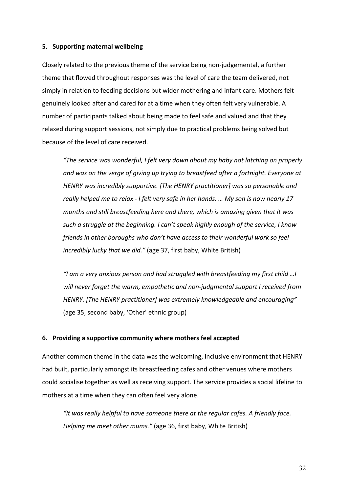#### **5. Supporting maternal wellbeing**

Closely related to the previous theme of the service being non-judgemental, a further theme that flowed throughout responses was the level of care the team delivered, not simply in relation to feeding decisions but wider mothering and infant care. Mothers felt genuinely looked after and cared for at a time when they often felt very vulnerable. A number of participants talked about being made to feel safe and valued and that they relaxed during support sessions, not simply due to practical problems being solved but because of the level of care received.

*"The service was wonderful, I felt very down about my baby not latching on properly and was on the verge of giving up trying to breastfeed after a fortnight. Everyone at HENRY was incredibly supportive. [The HENRY practitioner] was so personable and really helped me to relax - I felt very safe in her hands. … My son is now nearly 17 months and still breastfeeding here and there, which is amazing given that it was such a struggle at the beginning. I can't speak highly enough of the service, I know friends in other boroughs who don't have access to their wonderful work so feel incredibly lucky that we did."* (age 37, first baby, White British)

*"I am a very anxious person and had struggled with breastfeeding my first child …I will never forget the warm, empathetic and non-judgmental support I received from HENRY. [The HENRY practitioner] was extremely knowledgeable and encouraging"*  (age 35, second baby, 'Other' ethnic group)

#### **6. Providing a supportive community where mothers feel accepted**

Another common theme in the data was the welcoming, inclusive environment that HENRY had built, particularly amongst its breastfeeding cafes and other venues where mothers could socialise together as well as receiving support. The service provides a social lifeline to mothers at a time when they can often feel very alone.

*"It was really helpful to have someone there at the regular cafes. A friendly face. Helping me meet other mums."* (age 36, first baby, White British)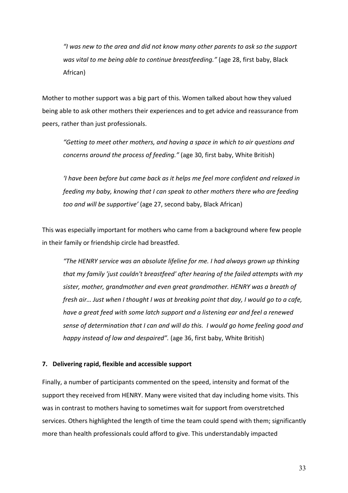*"I was new to the area and did not know many other parents to ask so the support was vital to me being able to continue breastfeeding."* (age 28, first baby, Black African)

Mother to mother support was a big part of this. Women talked about how they valued being able to ask other mothers their experiences and to get advice and reassurance from peers, rather than just professionals.

*"Getting to meet other mothers, and having a space in which to air questions and concerns around the process of feeding."* (age 30, first baby, White British)

*'I have been before but came back as it helps me feel more confident and relaxed in feeding my baby, knowing that I can speak to other mothers there who are feeding too and will be supportive'* (age 27, second baby, Black African)

This was especially important for mothers who came from a background where few people in their family or friendship circle had breastfed.

*"The HENRY service was an absolute lifeline for me. I had always grown up thinking that my family 'just couldn't breastfeed' after hearing of the failed attempts with my sister, mother, grandmother and even great grandmother. HENRY was a breath of fresh air… Just when I thought I was at breaking point that day, I would go to a cafe, have a great feed with some latch support and a listening ear and feel a renewed sense of determination that I can and will do this. I would go home feeling good and happy instead of low and despaired".* (age 36, first baby, White British)

#### **7. Delivering rapid, flexible and accessible support**

Finally, a number of participants commented on the speed, intensity and format of the support they received from HENRY. Many were visited that day including home visits. This was in contrast to mothers having to sometimes wait for support from overstretched services. Others highlighted the length of time the team could spend with them; significantly more than health professionals could afford to give. This understandably impacted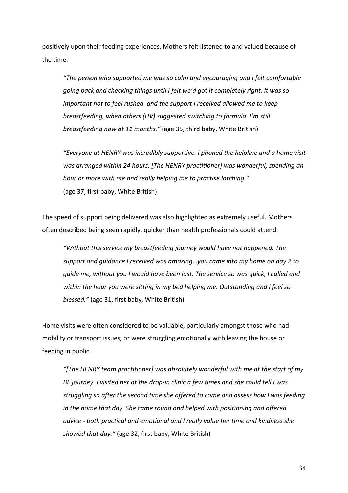positively upon their feeding experiences. Mothers felt listened to and valued because of the time.

*"The person who supported me was so calm and encouraging and I felt comfortable going back and checking things until I felt we'd got it completely right. It was so important not to feel rushed, and the support I received allowed me to keep breastfeeding, when others (HV) suggested switching to formula. I'm still breastfeeding now at 11 months."* (age 35, third baby, White British)

*"Everyone at HENRY was incredibly supportive. I phoned the helpline and a home visit was arranged within 24 hours. [The HENRY practitioner] was wonderful, spending an hour or more with me and really helping me to practise latching."* (age 37, first baby, White British)

The speed of support being delivered was also highlighted as extremely useful. Mothers often described being seen rapidly, quicker than health professionals could attend.

*"Without this service my breastfeeding journey would have not happened. The support and guidance I received was amazing…you came into my home on day 2 to guide me, without you I would have been lost. The service so was quick, I called and within the hour you were sitting in my bed helping me. Outstanding and I feel so blessed."* (age 31, first baby, White British)

Home visits were often considered to be valuable, particularly amongst those who had mobility or transport issues, or were struggling emotionally with leaving the house or feeding in public.

*"[The HENRY team practitioner] was absolutely wonderful with me at the start of my BF journey. I visited her at the drop-in clinic a few times and she could tell I was struggling so after the second time she offered to come and assess how I was feeding in the home that day. She came round and helped with positioning and offered advice - both practical and emotional and I really value her time and kindness she showed that day."* (age 32, first baby, White British)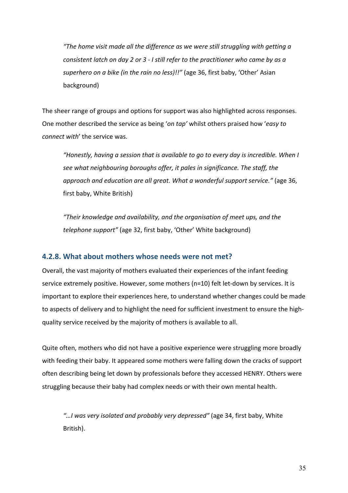*"The home visit made all the difference as we were still struggling with getting a consistent latch on day 2 or 3 - I still refer to the practitioner who came by as a superhero on a bike (in the rain no less)!!"* (age 36, first baby, 'Other' Asian background)

The sheer range of groups and options for support was also highlighted across responses. One mother described the service as being '*on tap'* whilst others praised how '*easy to connect with*' the service was.

*"Honestly, having a session that is available to go to every day is incredible. When I see what neighbouring boroughs offer, it pales in significance. The staff, the approach and education are all great. What a wonderful support service."* (age 36, first baby, White British)

*"Their knowledge and availability, and the organisation of meet ups, and the telephone support"* (age 32, first baby, 'Other' White background)

#### **4.2.8. What about mothers whose needs were not met?**

Overall, the vast majority of mothers evaluated their experiences of the infant feeding service extremely positive. However, some mothers (n=10) felt let-down by services. It is important to explore their experiences here, to understand whether changes could be made to aspects of delivery and to highlight the need for sufficient investment to ensure the highquality service received by the majority of mothers is available to all.

Quite often, mothers who did not have a positive experience were struggling more broadly with feeding their baby. It appeared some mothers were falling down the cracks of support often describing being let down by professionals before they accessed HENRY. Others were struggling because their baby had complex needs or with their own mental health.

*"…I was very isolated and probably very depressed"* (age 34, first baby, White British).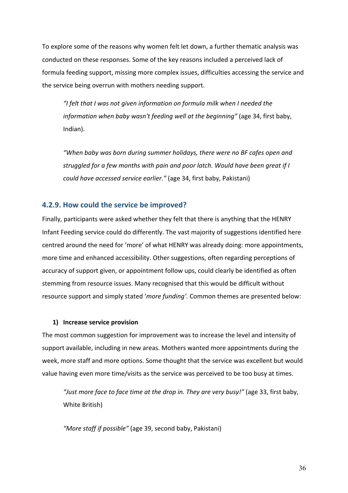To explore some of the reasons why women felt let down, a further thematic analysis was conducted on these responses. Some of the key reasons included a perceived lack of formula feeding support, missing more complex issues, difficulties accessing the service and the service being overrun with mothers needing support.

*"I felt that I was not given information on formula milk when I needed the information when baby wasn't feeding well at the beginning"* (age 34, first baby, Indian).

*"When baby was born during summer holidays, there were no BF cafes open and struggled for a few months with pain and poor latch. Would have been great if I could have accessed service earlier."* (age 34, first baby, Pakistani)

#### **4.2.9. How could the service be improved?**

Finally, participants were asked whether they felt that there is anything that the HENRY Infant Feeding service could do differently. The vast majority of suggestions identified here centred around the need for 'more' of what HENRY was already doing: more appointments, more time and enhanced accessibility. Other suggestions, often regarding perceptions of accuracy of support given, or appointment follow ups, could clearly be identified as often stemming from resource issues. Many recognised that this would be difficult without resource support and simply stated '*more funding'*. Common themes are presented below:

#### **1) Increase service provision**

The most common suggestion for improvement was to increase the level and intensity of support available, including in new areas. Mothers wanted more appointments during the week, more staff and more options. Some thought that the service was excellent but would value having even more time/visits as the service was perceived to be too busy at times.

*"Just more face to face time at the drop in. They are very busy!"* (age 33, first baby, White British)

*"More staff if possible"* (age 39, second baby, Pakistani)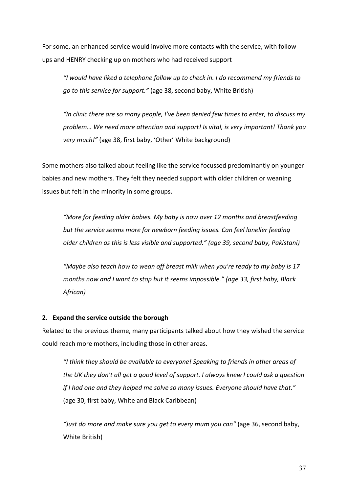For some, an enhanced service would involve more contacts with the service, with follow ups and HENRY checking up on mothers who had received support

*"I would have liked a telephone follow up to check in. I do recommend my friends to go to this service for support."* (age 38, second baby, White British)

*"In clinic there are so many people, I've been denied few times to enter, to discuss my problem… We need more attention and support! Is vital, is very important! Thank you very much!"* (age 38, first baby, 'Other' White background)

Some mothers also talked about feeling like the service focussed predominantly on younger babies and new mothers. They felt they needed support with older children or weaning issues but felt in the minority in some groups.

*"More for feeding older babies. My baby is now over 12 months and breastfeeding but the service seems more for newborn feeding issues. Can feel lonelier feeding older children as this is less visible and supported." (age 39, second baby, Pakistani)*

*"Maybe also teach how to wean off breast milk when you're ready to my baby is 17 months now and I want to stop but it seems impossible." (age 33, first baby, Black African)*

#### **2. Expand the service outside the borough**

Related to the previous theme, many participants talked about how they wished the service could reach more mothers, including those in other areas.

*"I think they should be available to everyone! Speaking to friends in other areas of the UK they don't all get a good level of support. I always knew I could ask a question if I had one and they helped me solve so many issues. Everyone should have that."* (age 30, first baby, White and Black Caribbean)

*"Just do more and make sure you get to every mum you can"* (age 36, second baby, White British)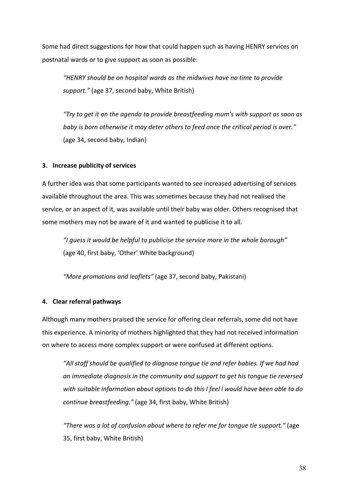Some had direct suggestions for how that could happen such as having HENRY services on postnatal wards or to give support as soon as possible:

*"HENRY should be on hospital wards as the midwives have no time to provide support."* (age 37, second baby, White British)

*"Try to get it on the agenda to provide breastfeeding mum's with support as soon as baby is born otherwise it may deter others to feed once the critical period is over."* (age 34, second baby, Indian)

#### **3. Increase publicity of services**

A further idea was that some participants wanted to see increased advertising of services available throughout the area. This was sometimes because they had not realised the service, or an aspect of it, was available until their baby was older. Others recognised that some mothers may not be aware of it and wanted to publicise it to all.

*"I guess it would be helpful to publicise the service more in the whole borough"* (age 40, first baby, 'Other' White background)

*"More promotions and leaflets"* (age 37, second baby, Pakistani)

#### **4. Clear referral pathways**

Although many mothers praised the service for offering clear referrals, some did not have this experience. A minority of mothers highlighted that they had not received information on where to access more complex support or were confused at different options.

*"All staff should be qualified to diagnose tongue tie and refer babies. If we had had an immediate diagnosis in the community and support to get his tongue tie reversed with suitable information about options to do this I feel l would have been able to do continue breastfeeding."* (age 34, first baby, White British)

*"There was a lot of confusion about where to refer me for tongue tie support."* (age 35, first baby, White British)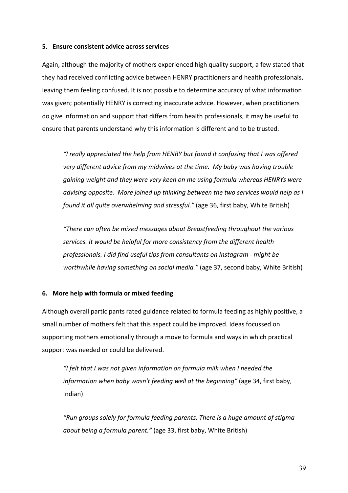#### **5. Ensure consistent advice across services**

Again, although the majority of mothers experienced high quality support, a few stated that they had received conflicting advice between HENRY practitioners and health professionals, leaving them feeling confused. It is not possible to determine accuracy of what information was given; potentially HENRY is correcting inaccurate advice. However, when practitioners do give information and support that differs from health professionals, it may be useful to ensure that parents understand why this information is different and to be trusted.

*"I really appreciated the help from HENRY but found it confusing that I was offered very different advice from my midwives at the time. My baby was having trouble gaining weight and they were very keen on me using formula whereas HENRYs were advising opposite. More joined up thinking between the two services would help as I found it all quite overwhelming and stressful."* (age 36, first baby, White British)

*"There can often be mixed messages about Breastfeeding throughout the various services. It would be helpful for more consistency from the different health professionals. I did find useful tips from consultants on Instagram - might be worthwhile having something on social media."* (age 37, second baby, White British)

#### **6. More help with formula or mixed feeding**

Although overall participants rated guidance related to formula feeding as highly positive, a small number of mothers felt that this aspect could be improved. Ideas focussed on supporting mothers emotionally through a move to formula and ways in which practical support was needed or could be delivered.

*"I felt that I was not given information on formula milk when I needed the information when baby wasn't feeding well at the beginning"* (age 34, first baby, Indian)

*"Run groups solely for formula feeding parents. There is a huge amount of stigma about being a formula parent."* (age 33, first baby, White British)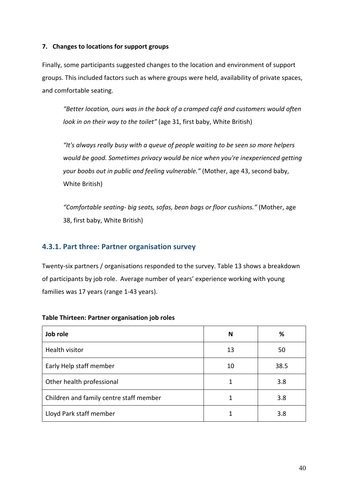#### **7. Changes to locations for support groups**

Finally, some participants suggested changes to the location and environment of support groups. This included factors such as where groups were held, availability of private spaces, and comfortable seating.

*"Better location, ours was in the back of a cramped café and customers would often look in on their way to the toilet"* (age 31, first baby, White British)

*"It's always really busy with a queue of people waiting to be seen so more helpers would be good. Sometimes privacy would be nice when you're inexperienced getting your boobs out in public and feeling vulnerable."* (Mother, age 43, second baby, White British)

*"Comfortable seating- big seats, sofas, bean bags or floor cushions."* (Mother, age 38, first baby, White British)

#### **4.3.1. Part three: Partner organisation survey**

Twenty-six partners / organisations responded to the survey. Table 13 shows a breakdown of participants by job role. Average number of years' experience working with young families was 17 years (range 1-43 years).

| Job role                                | N  | %    |
|-----------------------------------------|----|------|
| Health visitor                          | 13 | 50   |
| Early Help staff member                 | 10 | 38.5 |
| Other health professional               |    | 3.8  |
| Children and family centre staff member |    | 3.8  |
| Lloyd Park staff member                 |    | 3.8  |

#### **Table Thirteen: Partner organisation job roles**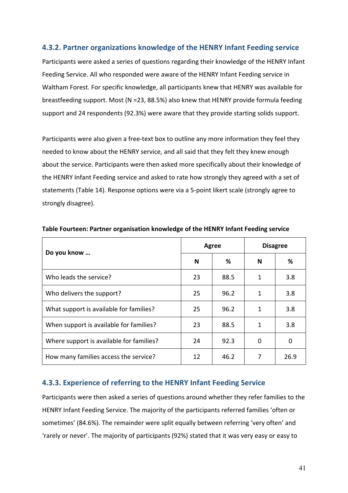#### **4.3.2. Partner organizations knowledge of the HENRY Infant Feeding service**

Participants were asked a series of questions regarding their knowledge of the HENRY Infant Feeding Service. All who responded were aware of the HENRY Infant Feeding service in Waltham Forest. For specific knowledge, all participants knew that HENRY was available for breastfeeding support. Most (N =23, 88.5%) also knew that HENRY provide formula feeding support and 24 respondents (92.3%) were aware that they provide starting solids support.

Participants were also given a free-text box to outline any more information they feel they needed to know about the HENRY service, and all said that they felt they knew enough about the service. Participants were then asked more specifically about their knowledge of the HENRY Infant Feeding service and asked to rate how strongly they agreed with a set of statements (Table 14). Response options were via a 5-point likert scale (strongly agree to strongly disagree).

| Do you know                              |    | <b>Agree</b> | <b>Disagree</b> |      |  |
|------------------------------------------|----|--------------|-----------------|------|--|
|                                          | N  | %            | N               | ℅    |  |
| Who leads the service?                   | 23 | 88.5         | 1               | 3.8  |  |
| Who delivers the support?                | 25 | 96.2         | 1               | 3.8  |  |
| What support is available for families?  | 25 | 96.2         | 1               | 3.8  |  |
| When support is available for families?  | 23 | 88.5         | 1               | 3.8  |  |
| Where support is available for families? | 24 | 92.3         | 0               | 0    |  |
| How many families access the service?    | 12 | 46.2         | 7               | 26.9 |  |

**Table Fourteen: Partner organisation knowledge of the HENRY Infant Feeding service** 

#### **4.3.3. Experience of referring to the HENRY Infant Feeding Service**

Participants were then asked a series of questions around whether they refer families to the HENRY Infant Feeding Service. The majority of the participants referred families 'often or sometimes' (84.6%). The remainder were split equally between referring 'very often' and 'rarely or never'. The majority of participants (92%) stated that it was very easy or easy to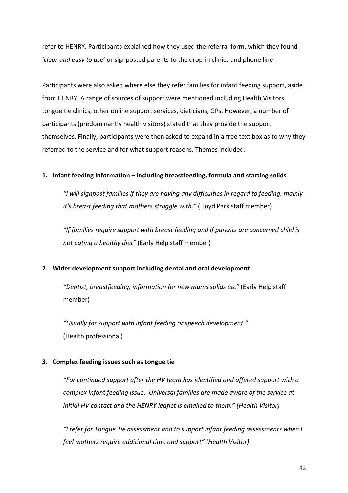refer to HENRY. Participants explained how they used the referral form, which they found '*clear and easy to use*' or signposted parents to the drop-in clinics and phone line

Participants were also asked where else they refer families for infant feeding support, aside from HENRY. A range of sources of support were mentioned including Health Visitors, tongue tie clinics, other online support services, dieticians, GPs. However, a number of participants (predominantly health visitors) stated that they provide the support themselves. Finally, participants were then asked to expand in a free text box as to why they referred to the service and for what support reasons. Themes included:

#### **1. Infant feeding information – including breastfeeding, formula and starting solids**

*"I will signpost families if they are having any difficulties in regard to feeding, mainly it's breast feeding that mothers struggle with."* (Lloyd Park staff member)

*"If families require support with breast feeding and if parents are concerned child is not eating a healthy diet"* (Early Help staff member)

#### **2. Wider development support including dental and oral development**

*"Dentist, breastfeeding, information for new mums solids etc"* (Early Help staff member)

*"Usually for support with infant feeding or speech development."* (Health professional)

#### **3. Complex feeding issues such as tongue tie**

*"For continued support after the HV team has identified and offered support with a complex infant feeding issue. Universal families are made aware of the service at initial HV contact and the HENRY leaflet is emailed to them." (Health Visitor)*

*"I refer for Tongue Tie assessment and to support infant feeding assessments when I feel mothers require additional time and support" (Health Visitor)*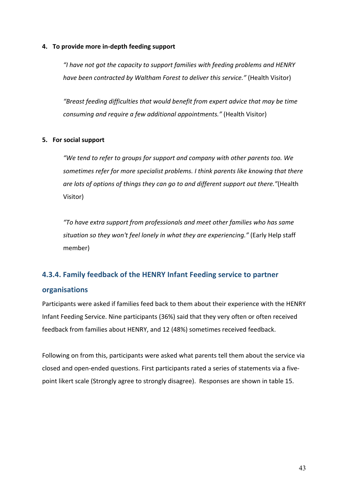#### **4. To provide more in-depth feeding support**

*"I have not got the capacity to support families with feeding problems and HENRY have been contracted by Waltham Forest to deliver this service."* (Health Visitor)

*"Breast feeding difficulties that would benefit from expert advice that may be time consuming and require a few additional appointments."* (Health Visitor)

#### **5. For social support**

*"We tend to refer to groups for support and company with other parents too. We sometimes refer for more specialist problems. I think parents like knowing that there are lots of options of things they can go to and different support out there."*(Health Visitor)

*"To have extra support from professionals and meet other families who has same situation so they won't feel lonely in what they are experiencing."* (Early Help staff member)

# **4.3.4. Family feedback of the HENRY Infant Feeding service to partner**

#### **organisations**

Participants were asked if families feed back to them about their experience with the HENRY Infant Feeding Service. Nine participants (36%) said that they very often or often received feedback from families about HENRY, and 12 (48%) sometimes received feedback.

Following on from this, participants were asked what parents tell them about the service via closed and open-ended questions. First participants rated a series of statements via a fivepoint likert scale (Strongly agree to strongly disagree). Responses are shown in table 15.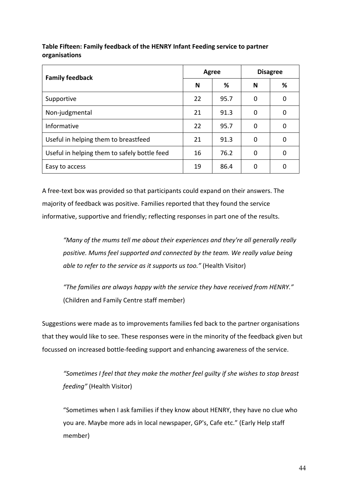| <b>Family feedback</b>                       | Agree |      | <b>Disagree</b> |   |
|----------------------------------------------|-------|------|-----------------|---|
|                                              | N     | ℅    | N               | % |
| Supportive                                   | 22    | 95.7 | $\Omega$        | 0 |
| Non-judgmental                               | 21    | 91.3 | $\Omega$        | 0 |
| Informative                                  | 22    | 95.7 | $\Omega$        | 0 |
| Useful in helping them to breastfeed         | 21    | 91.3 | $\Omega$        | 0 |
| Useful in helping them to safely bottle feed | 16    | 76.2 | $\Omega$        | 0 |
| Easy to access                               | 19    | 86.4 |                 | 0 |

#### **Table Fifteen: Family feedback of the HENRY Infant Feeding service to partner organisations**

A free-text box was provided so that participants could expand on their answers. The majority of feedback was positive. Families reported that they found the service informative, supportive and friendly; reflecting responses in part one of the results.

*"Many of the mums tell me about their experiences and they're all generally really positive. Mums feel supported and connected by the team. We really value being able to refer to the service as it supports us too."* (Health Visitor)

*"The families are always happy with the service they have received from HENRY."* (Children and Family Centre staff member)

Suggestions were made as to improvements families fed back to the partner organisations that they would like to see. These responses were in the minority of the feedback given but focussed on increased bottle-feeding support and enhancing awareness of the service.

*"Sometimes I feel that they make the mother feel guilty if she wishes to stop breast feeding"* (Health Visitor)

"Sometimes when I ask families if they know about HENRY, they have no clue who you are. Maybe more ads in local newspaper, GP's, Cafe etc." (Early Help staff member)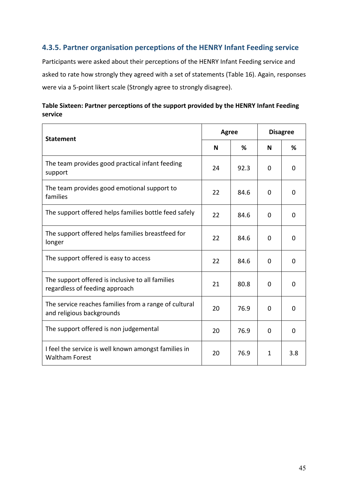#### **4.3.5. Partner organisation perceptions of the HENRY Infant Feeding service**

Participants were asked about their perceptions of the HENRY Infant Feeding service and asked to rate how strongly they agreed with a set of statements (Table 16). Again, responses were via a 5-point likert scale (Strongly agree to strongly disagree).

| Table Sixteen: Partner perceptions of the support provided by the HENRY Infant Feeding |  |
|----------------------------------------------------------------------------------------|--|
| service                                                                                |  |

| <b>Statement</b>                                                                   |    | <b>Agree</b> |          | <b>Disagree</b> |  |
|------------------------------------------------------------------------------------|----|--------------|----------|-----------------|--|
|                                                                                    |    | %            | N        | ℅               |  |
| The team provides good practical infant feeding<br>support                         | 24 | 92.3         | 0        | 0               |  |
| The team provides good emotional support to<br>families                            | 22 | 84.6         | $\Omega$ | $\Omega$        |  |
| The support offered helps families bottle feed safely                              | 22 | 84.6         | 0        | 0               |  |
| The support offered helps families breastfeed for<br>longer                        | 22 | 84.6         | 0        | 0               |  |
| The support offered is easy to access                                              | 22 | 84.6         | 0        | $\Omega$        |  |
| The support offered is inclusive to all families<br>regardless of feeding approach | 21 | 80.8         | 0        | 0               |  |
| The service reaches families from a range of cultural<br>and religious backgrounds | 20 | 76.9         | $\Omega$ | $\Omega$        |  |
| The support offered is non judgemental                                             | 20 | 76.9         | 0        | 0               |  |
| I feel the service is well known amongst families in<br><b>Waltham Forest</b>      | 20 | 76.9         | 1        | 3.8             |  |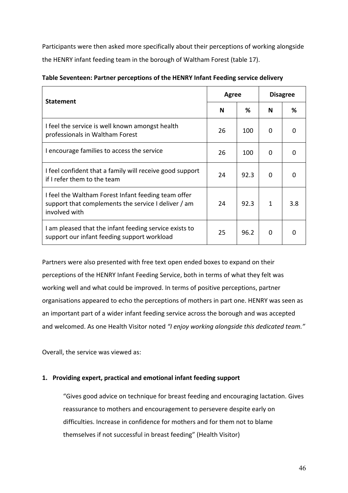Participants were then asked more specifically about their perceptions of working alongside the HENRY infant feeding team in the borough of Waltham Forest (table 17).

| <b>Statement</b>                                                                                                            |    | <b>Agree</b> |          | <b>Disagree</b> |  |
|-----------------------------------------------------------------------------------------------------------------------------|----|--------------|----------|-----------------|--|
|                                                                                                                             |    | ℅            | N        | ℅               |  |
| I feel the service is well known amongst health<br>professionals in Waltham Forest                                          | 26 | 100          | $\Omega$ | ŋ               |  |
| I encourage families to access the service                                                                                  | 26 | 100          | $\Omega$ | O               |  |
| I feel confident that a family will receive good support<br>if I refer them to the team                                     | 24 | 92.3         | 0        | 0               |  |
| I feel the Waltham Forest Infant feeding team offer<br>support that complements the service I deliver / am<br>involved with | 24 | 92.3         | 1        | 3.8             |  |
| I am pleased that the infant feeding service exists to<br>support our infant feeding support workload                       | 25 | 96.2         | 0        |                 |  |

|  |  | Table Seventeen: Partner perceptions of the HENRY Infant Feeding service delivery |
|--|--|-----------------------------------------------------------------------------------|
|--|--|-----------------------------------------------------------------------------------|

Partners were also presented with free text open ended boxes to expand on their perceptions of the HENRY Infant Feeding Service, both in terms of what they felt was working well and what could be improved. In terms of positive perceptions, partner organisations appeared to echo the perceptions of mothers in part one. HENRY was seen as an important part of a wider infant feeding service across the borough and was accepted and welcomed. As one Health Visitor noted *"I enjoy working alongside this dedicated team."*

Overall, the service was viewed as:

#### **1. Providing expert, practical and emotional infant feeding support**

"Gives good advice on technique for breast feeding and encouraging lactation. Gives reassurance to mothers and encouragement to persevere despite early on difficulties. Increase in confidence for mothers and for them not to blame themselves if not successful in breast feeding" (Health Visitor)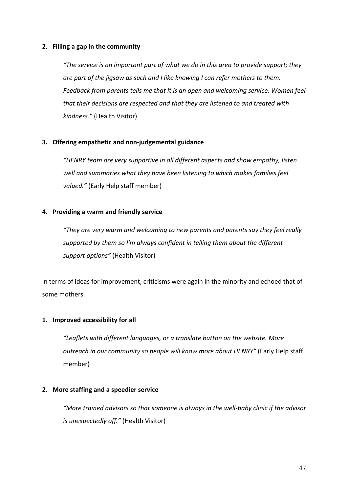#### **2. Filling a gap in the community**

*"The service is an important part of what we do in this area to provide support; they are part of the jigsaw as such and I like knowing I can refer mothers to them. Feedback from parents tells me that it is an open and welcoming service. Women feel that their decisions are respected and that they are listened to and treated with kindness."* (Health Visitor)

#### **3. Offering empathetic and non-judgemental guidance**

*"HENRY team are very supportive in all different aspects and show empathy, listen well and summaries what they have been listening to which makes families feel valued."* (Early Help staff member)

#### **4. Providing a warm and friendly service**

*"They are very warm and welcoming to new parents and parents say they feel really supported by them so I'm always confident in telling them about the different support options"* (Health Visitor)

In terms of ideas for improvement, criticisms were again in the minority and echoed that of some mothers.

#### **1. Improved accessibility for all**

*"Leaflets with different languages, or a translate button on the website. More outreach in our community so people will know more about HENRY"* (Early Help staff member)

#### **2. More staffing and a speedier service**

*"More trained advisors so that someone is always in the well-baby clinic if the advisor is unexpectedly off."* (Health Visitor)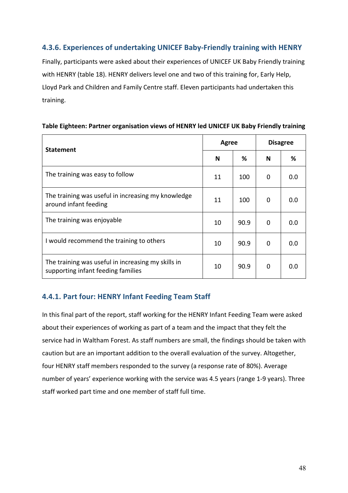#### **4.3.6. Experiences of undertaking UNICEF Baby-Friendly training with HENRY**

Finally, participants were asked about their experiences of UNICEF UK Baby Friendly training with HENRY (table 18). HENRY delivers level one and two of this training for, Early Help, Lloyd Park and Children and Family Centre staff. Eleven participants had undertaken this training.

| Table Eighteen: Partner organisation views of HENRY led UNICEF UK Baby Friendly training |  |  |
|------------------------------------------------------------------------------------------|--|--|
|------------------------------------------------------------------------------------------|--|--|

| <b>Statement</b>                                                                         | Agree |      | <b>Disagree</b> |     |
|------------------------------------------------------------------------------------------|-------|------|-----------------|-----|
|                                                                                          | N     | %    | N               | %   |
| The training was easy to follow                                                          | 11    | 100  | 0               | 0.0 |
| The training was useful in increasing my knowledge<br>around infant feeding              | 11    | 100  | 0               | 0.0 |
| The training was enjoyable                                                               | 10    | 90.9 | 0               | 0.0 |
| I would recommend the training to others                                                 | 10    | 90.9 | 0               | 0.0 |
| The training was useful in increasing my skills in<br>supporting infant feeding families | 10    | 90.9 | 0               | 0.0 |

#### **4.4.1. Part four: HENRY Infant Feeding Team Staff**

In this final part of the report, staff working for the HENRY Infant Feeding Team were asked about their experiences of working as part of a team and the impact that they felt the service had in Waltham Forest. As staff numbers are small, the findings should be taken with caution but are an important addition to the overall evaluation of the survey. Altogether, four HENRY staff members responded to the survey (a response rate of 80%). Average number of years' experience working with the service was 4.5 years (range 1-9 years). Three staff worked part time and one member of staff full time.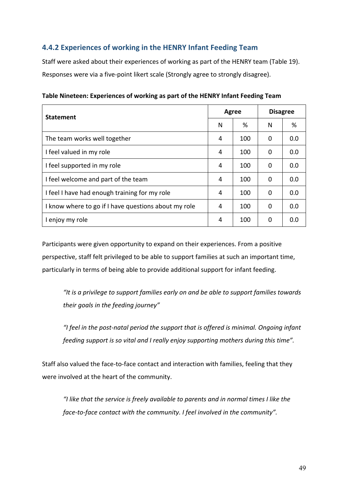#### **4.4.2 Experiences of working in the HENRY Infant Feeding Team**

Staff were asked about their experiences of working as part of the HENRY team (Table 19). Responses were via a five-point likert scale (Strongly agree to strongly disagree).

| <b>Statement</b>                                     | <b>Agree</b> |     | <b>Disagree</b> |     |
|------------------------------------------------------|--------------|-----|-----------------|-----|
|                                                      | N            | %   | N               | %   |
| The team works well together                         | 4            | 100 | 0               | 0.0 |
| I feel valued in my role                             | 4            | 100 | 0               | 0.0 |
| I feel supported in my role                          | 4            | 100 | 0               | 0.0 |
| I feel welcome and part of the team                  | 4            | 100 | 0               | 0.0 |
| I feel I have had enough training for my role        | 4            | 100 | 0               | 0.0 |
| I know where to go if I have questions about my role | 4            | 100 | $\Omega$        | 0.0 |
| I enjoy my role                                      | 4            | 100 | $\Omega$        | 0.0 |

**Table Nineteen: Experiences of working as part of the HENRY Infant Feeding Team** 

Participants were given opportunity to expand on their experiences. From a positive perspective, staff felt privileged to be able to support families at such an important time, particularly in terms of being able to provide additional support for infant feeding.

*"It is a privilege to support families early on and be able to support families towards their goals in the feeding journey"*

*"I feel in the post-natal period the support that is offered is minimal. Ongoing infant feeding support is so vital and I really enjoy supporting mothers during this time".*

Staff also valued the face-to-face contact and interaction with families, feeling that they were involved at the heart of the community.

*"I like that the service is freely available to parents and in normal times I like the face-to-face contact with the community. I feel involved in the community".*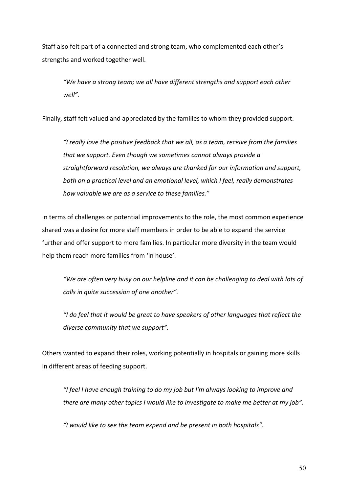Staff also felt part of a connected and strong team, who complemented each other's strengths and worked together well.

*"We have a strong team; we all have different strengths and support each other well".*

Finally, staff felt valued and appreciated by the families to whom they provided support.

*"I really love the positive feedback that we all, as a team, receive from the families that we support. Even though we sometimes cannot always provide a straightforward resolution, we always are thanked for our information and support, both on a practical level and an emotional level, which I feel, really demonstrates how valuable we are as a service to these families."*

In terms of challenges or potential improvements to the role, the most common experience shared was a desire for more staff members in order to be able to expand the service further and offer support to more families. In particular more diversity in the team would help them reach more families from 'in house'.

*"We are often very busy on our helpline and it can be challenging to deal with lots of calls in quite succession of one another".*

*"I do feel that it would be great to have speakers of other languages that reflect the diverse community that we support".*

Others wanted to expand their roles, working potentially in hospitals or gaining more skills in different areas of feeding support.

*"I feel I have enough training to do my job but I'm always looking to improve and there are many other topics I would like to investigate to make me better at my job".*

*"I would like to see the team expend and be present in both hospitals".*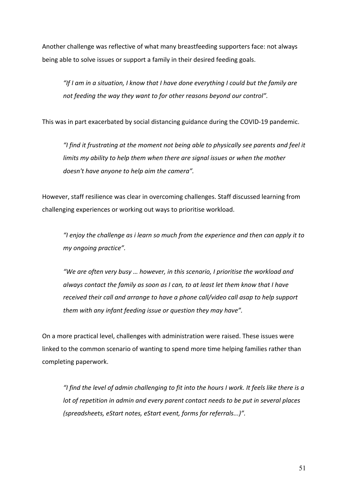Another challenge was reflective of what many breastfeeding supporters face: not always being able to solve issues or support a family in their desired feeding goals.

*"If I am in a situation, I know that I have done everything I could but the family are not feeding the way they want to for other reasons beyond our control".*

This was in part exacerbated by social distancing guidance during the COVID-19 pandemic.

*"I find it frustrating at the moment not being able to physically see parents and feel it limits my ability to help them when there are signal issues or when the mother doesn't have anyone to help aim the camera".* 

However, staff resilience was clear in overcoming challenges. Staff discussed learning from challenging experiences or working out ways to prioritise workload.

*"I enjoy the challenge as i learn so much from the experience and then can apply it to my ongoing practice".*

*"We are often very busy … however, in this scenario, I prioritise the workload and always contact the family as soon as I can, to at least let them know that I have received their call and arrange to have a phone call/video call asap to help support them with any infant feeding issue or question they may have".*

On a more practical level, challenges with administration were raised. These issues were linked to the common scenario of wanting to spend more time helping families rather than completing paperwork.

*"I find the level of admin challenging to fit into the hours I work. It feels like there is a lot of repetition in admin and every parent contact needs to be put in several places (spreadsheets, eStart notes, eStart event, forms for referrals...)".*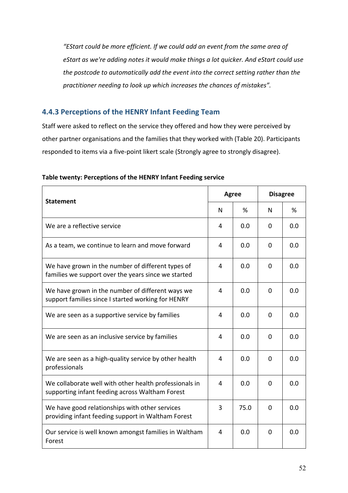*"EStart could be more efficient. If we could add an event from the same area of eStart as we're adding notes it would make things a lot quicker. And eStart could use the postcode to automatically add the event into the correct setting rather than the practitioner needing to look up which increases the chances of mistakes".* 

#### **4.4.3 Perceptions of the HENRY Infant Feeding Team**

Staff were asked to reflect on the service they offered and how they were perceived by other partner organisations and the families that they worked with (Table 20). Participants responded to items via a five-point likert scale (Strongly agree to strongly disagree).

| <b>Statement</b>                                                                                          | <b>Agree</b> |      | <b>Disagree</b> |     |
|-----------------------------------------------------------------------------------------------------------|--------------|------|-----------------|-----|
|                                                                                                           | N            | %    | N               | %   |
| We are a reflective service                                                                               | 4            | 0.0  | 0               | 0.0 |
| As a team, we continue to learn and move forward                                                          | 4            | 0.0  | $\Omega$        | 0.0 |
| We have grown in the number of different types of<br>families we support over the years since we started  | 4            | 0.0  | $\Omega$        | 0.0 |
| We have grown in the number of different ways we<br>support families since I started working for HENRY    | 4            | 0.0  | $\mathbf{0}$    | 0.0 |
| We are seen as a supportive service by families                                                           | 4            | 0.0  | $\mathbf{0}$    | 0.0 |
| We are seen as an inclusive service by families                                                           | 4            | 0.0  | $\Omega$        | 0.0 |
| We are seen as a high-quality service by other health<br>professionals                                    | 4            | 0.0  | $\Omega$        | 0.0 |
| We collaborate well with other health professionals in<br>supporting infant feeding across Waltham Forest | 4            | 0.0  | $\Omega$        | 0.0 |
| We have good relationships with other services<br>providing infant feeding support in Waltham Forest      | 3            | 75.0 | $\Omega$        | 0.0 |
| Our service is well known amongst families in Waltham<br>Forest                                           | 4            | 0.0  | $\Omega$        | 0.0 |

#### **Table twenty: Perceptions of the HENRY Infant Feeding service**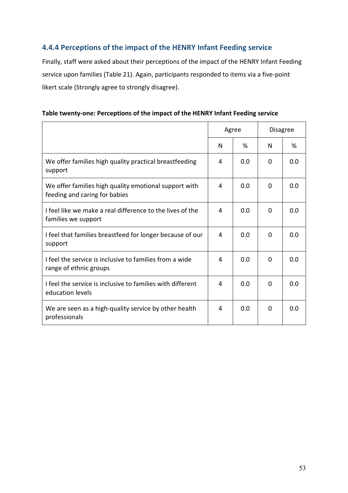#### **4.4.4 Perceptions of the impact of the HENRY Infant Feeding service**

Finally, staff were asked about their perceptions of the impact of the HENRY Infant Feeding service upon families (Table 21). Again, participants responded to items via a five-point likert scale (Strongly agree to strongly disagree).

|                                                                                        | Agree |     | <b>Disagree</b> |     |
|----------------------------------------------------------------------------------------|-------|-----|-----------------|-----|
|                                                                                        | N     | %   | N               | %   |
| We offer families high quality practical breastfeeding<br>support                      | 4     | 0.0 | $\Omega$        | 0.0 |
| We offer families high quality emotional support with<br>feeding and caring for babies | 4     | 0.0 | 0               | 0.0 |
| I feel like we make a real difference to the lives of the<br>families we support       | 4     | 0.0 | $\Omega$        | 0.0 |
| I feel that families breastfeed for longer because of our<br>support                   | 4     | 0.0 | $\Omega$        | 0.0 |
| I feel the service is inclusive to families from a wide<br>range of ethnic groups      | 4     | 0.0 | $\Omega$        | 0.0 |
| I feel the service is inclusive to families with different<br>education levels         | 4     | 0.0 | $\Omega$        | 0.0 |
| We are seen as a high-quality service by other health<br>professionals                 | 4     | 0.0 | 0               | 0.0 |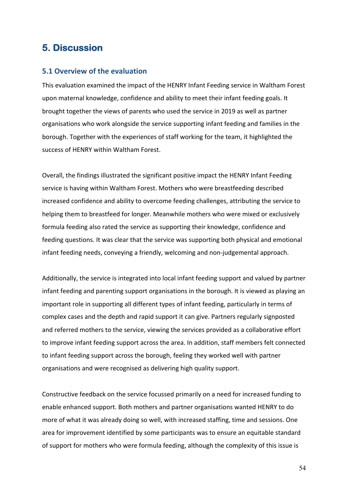## **5. Discussion**

#### **5.1 Overview of the evaluation**

This evaluation examined the impact of the HENRY Infant Feeding service in Waltham Forest upon maternal knowledge, confidence and ability to meet their infant feeding goals. It brought together the views of parents who used the service in 2019 as well as partner organisations who work alongside the service supporting infant feeding and families in the borough. Together with the experiences of staff working for the team, it highlighted the success of HENRY within Waltham Forest.

Overall, the findings illustrated the significant positive impact the HENRY Infant Feeding service is having within Waltham Forest. Mothers who were breastfeeding described increased confidence and ability to overcome feeding challenges, attributing the service to helping them to breastfeed for longer. Meanwhile mothers who were mixed or exclusively formula feeding also rated the service as supporting their knowledge, confidence and feeding questions. It was clear that the service was supporting both physical and emotional infant feeding needs, conveying a friendly, welcoming and non-judgemental approach.

Additionally, the service is integrated into local infant feeding support and valued by partner infant feeding and parenting support organisations in the borough. It is viewed as playing an important role in supporting all different types of infant feeding, particularly in terms of complex cases and the depth and rapid support it can give. Partners regularly signposted and referred mothers to the service, viewing the services provided as a collaborative effort to improve infant feeding support across the area. In addition, staff members felt connected to infant feeding support across the borough, feeling they worked well with partner organisations and were recognised as delivering high quality support.

Constructive feedback on the service focussed primarily on a need for increased funding to enable enhanced support. Both mothers and partner organisations wanted HENRY to do more of what it was already doing so well, with increased staffing, time and sessions. One area for improvement identified by some participants was to ensure an equitable standard of support for mothers who were formula feeding, although the complexity of this issue is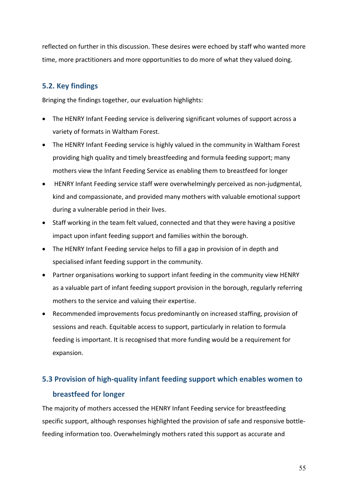reflected on further in this discussion. These desires were echoed by staff who wanted more time, more practitioners and more opportunities to do more of what they valued doing.

#### **5.2. Key findings**

Bringing the findings together, our evaluation highlights:

- The HENRY Infant Feeding service is delivering significant volumes of support across a variety of formats in Waltham Forest.
- The HENRY Infant Feeding service is highly valued in the community in Waltham Forest providing high quality and timely breastfeeding and formula feeding support; many mothers view the Infant Feeding Service as enabling them to breastfeed for longer
- HENRY Infant Feeding service staff were overwhelmingly perceived as non-judgmental, kind and compassionate, and provided many mothers with valuable emotional support during a vulnerable period in their lives.
- Staff working in the team felt valued, connected and that they were having a positive impact upon infant feeding support and families within the borough.
- The HENRY Infant Feeding service helps to fill a gap in provision of in depth and specialised infant feeding support in the community.
- Partner organisations working to support infant feeding in the community view HENRY as a valuable part of infant feeding support provision in the borough, regularly referring mothers to the service and valuing their expertise.
- Recommended improvements focus predominantly on increased staffing, provision of sessions and reach. Equitable access to support, particularly in relation to formula feeding is important. It is recognised that more funding would be a requirement for expansion.

# **5.3 Provision of high-quality infant feeding support which enables women to breastfeed for longer**

The majority of mothers accessed the HENRY Infant Feeding service for breastfeeding specific support, although responses highlighted the provision of safe and responsive bottlefeeding information too. Overwhelmingly mothers rated this support as accurate and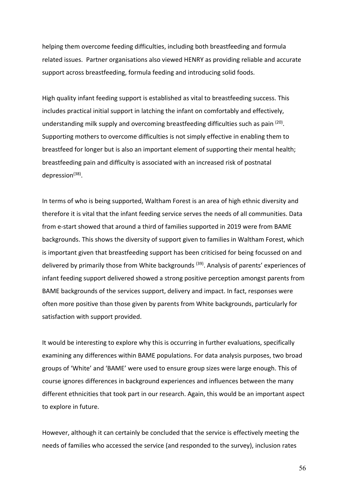helping them overcome feeding difficulties, including both breastfeeding and formula related issues. Partner organisations also viewed HENRY as providing reliable and accurate support across breastfeeding, formula feeding and introducing solid foods.

High quality infant feeding support is established as vital to breastfeeding success. This includes practical initial support in latching the infant on comfortably and effectively, understanding milk supply and overcoming breastfeeding difficulties such as pain <sup>(20)</sup>. Supporting mothers to overcome difficulties is not simply effective in enabling them to breastfeed for longer but is also an important element of supporting their mental health; breastfeeding pain and difficulty is associated with an increased risk of postnatal depression $^{(38)}$ .

In terms of who is being supported, Waltham Forest is an area of high ethnic diversity and therefore it is vital that the infant feeding service serves the needs of all communities. Data from e-start showed that around a third of families supported in 2019 were from BAME backgrounds. This shows the diversity of support given to families in Waltham Forest, which is important given that breastfeeding support has been criticised for being focussed on and delivered by primarily those from White backgrounds<sup>(39)</sup>. Analysis of parents' experiences of infant feeding support delivered showed a strong positive perception amongst parents from BAME backgrounds of the services support, delivery and impact. In fact, responses were often more positive than those given by parents from White backgrounds, particularly for satisfaction with support provided.

It would be interesting to explore why this is occurring in further evaluations, specifically examining any differences within BAME populations. For data analysis purposes, two broad groups of 'White' and 'BAME' were used to ensure group sizes were large enough. This of course ignores differences in background experiences and influences between the many different ethnicities that took part in our research. Again, this would be an important aspect to explore in future.

However, although it can certainly be concluded that the service is effectively meeting the needs of families who accessed the service (and responded to the survey), inclusion rates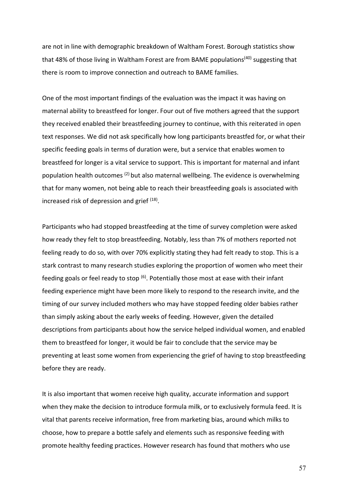are not in line with demographic breakdown of Waltham Forest. Borough statistics show that 48% of those living in Waltham Forest are from BAME populations<sup>(40)</sup> suggesting that there is room to improve connection and outreach to BAME families.

One of the most important findings of the evaluation was the impact it was having on maternal ability to breastfeed for longer. Four out of five mothers agreed that the support they received enabled their breastfeeding journey to continue, with this reiterated in open text responses. We did not ask specifically how long participants breastfed for, or what their specific feeding goals in terms of duration were, but a service that enables women to breastfeed for longer is a vital service to support. This is important for maternal and infant population health outcomes <sup>(2)</sup> but also maternal wellbeing. The evidence is overwhelming that for many women, not being able to reach their breastfeeding goals is associated with increased risk of depression and grief (18).

Participants who had stopped breastfeeding at the time of survey completion were asked how ready they felt to stop breastfeeding. Notably, less than 7% of mothers reported not feeling ready to do so, with over 70% explicitly stating they had felt ready to stop. This is a stark contrast to many research studies exploring the proportion of women who meet their feeding goals or feel ready to stop  $(6)$ . Potentially those most at ease with their infant feeding experience might have been more likely to respond to the research invite, and the timing of our survey included mothers who may have stopped feeding older babies rather than simply asking about the early weeks of feeding. However, given the detailed descriptions from participants about how the service helped individual women, and enabled them to breastfeed for longer, it would be fair to conclude that the service may be preventing at least some women from experiencing the grief of having to stop breastfeeding before they are ready.

It is also important that women receive high quality, accurate information and support when they make the decision to introduce formula milk, or to exclusively formula feed. It is vital that parents receive information, free from marketing bias, around which milks to choose, how to prepare a bottle safely and elements such as responsive feeding with promote healthy feeding practices. However research has found that mothers who use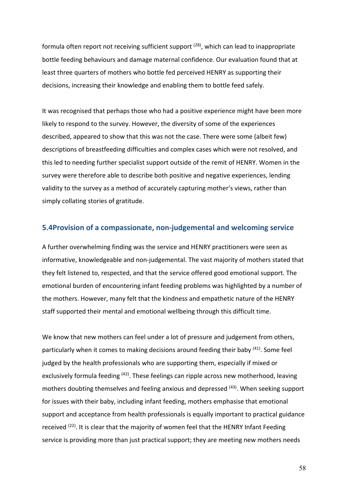formula often report not receiving sufficient support  $(28)$ , which can lead to inappropriate bottle feeding behaviours and damage maternal confidence. Our evaluation found that at least three quarters of mothers who bottle fed perceived HENRY as supporting their decisions, increasing their knowledge and enabling them to bottle feed safely.

It was recognised that perhaps those who had a positive experience might have been more likely to respond to the survey. However, the diversity of some of the experiences described, appeared to show that this was not the case. There were some (albeit few) descriptions of breastfeeding difficulties and complex cases which were not resolved, and this led to needing further specialist support outside of the remit of HENRY. Women in the survey were therefore able to describe both positive and negative experiences, lending validity to the survey as a method of accurately capturing mother's views, rather than simply collating stories of gratitude.

#### **5.4Provision of a compassionate, non-judgemental and welcoming service**

A further overwhelming finding was the service and HENRY practitioners were seen as informative, knowledgeable and non-judgemental. The vast majority of mothers stated that they felt listened to, respected, and that the service offered good emotional support. The emotional burden of encountering infant feeding problems was highlighted by a number of the mothers. However, many felt that the kindness and empathetic nature of the HENRY staff supported their mental and emotional wellbeing through this difficult time.

We know that new mothers can feel under a lot of pressure and judgement from others, particularly when it comes to making decisions around feeding their baby <sup>(41)</sup>. Some feel judged by the health professionals who are supporting them, especially if mixed or exclusively formula feeding <sup>(42)</sup>. These feelings can ripple across new motherhood, leaving mothers doubting themselves and feeling anxious and depressed <sup>(43)</sup>. When seeking support for issues with their baby, including infant feeding, mothers emphasise that emotional support and acceptance from health professionals is equally important to practical guidance received  $(22)$ . It is clear that the majority of women feel that the HENRY Infant Feeding service is providing more than just practical support; they are meeting new mothers needs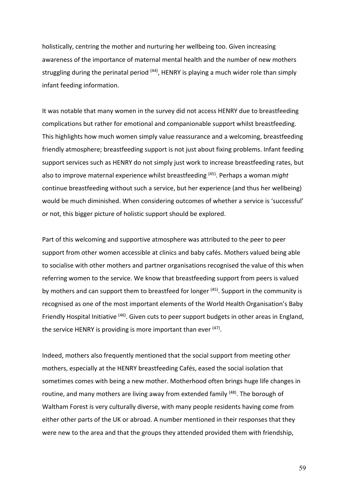holistically, centring the mother and nurturing her wellbeing too. Given increasing awareness of the importance of maternal mental health and the number of new mothers struggling during the perinatal period <sup>(44)</sup>, HENRY is playing a much wider role than simply infant feeding information.

It was notable that many women in the survey did not access HENRY due to breastfeeding complications but rather for emotional and companionable support whilst breastfeeding. This highlights how much women simply value reassurance and a welcoming, breastfeeding friendly atmosphere; breastfeeding support is not just about fixing problems. Infant feeding support services such as HENRY do not simply just work to increase breastfeeding rates, but also to improve maternal experience whilst breastfeeding (45) . Perhaps a woman *might* continue breastfeeding without such a service, but her experience (and thus her wellbeing) would be much diminished. When considering outcomes of whether a service is 'successful' or not, this bigger picture of holistic support should be explored.

Part of this welcoming and supportive atmosphere was attributed to the peer to peer support from other women accessible at clinics and baby cafés. Mothers valued being able to socialise with other mothers and partner organisations recognised the value of this when referring women to the service. We know that breastfeeding support from peers is valued by mothers and can support them to breastfeed for longer <sup>(45)</sup>. Support in the community is recognised as one of the most important elements of the World Health Organisation's Baby Friendly Hospital Initiative <sup>(46)</sup>. Given cuts to peer support budgets in other areas in England, the service HENRY is providing is more important than ever <sup>(47)</sup>.

Indeed, mothers also frequently mentioned that the social support from meeting other mothers, especially at the HENRY breastfeeding Cafés, eased the social isolation that sometimes comes with being a new mother. Motherhood often brings huge life changes in routine, and many mothers are living away from extended family <sup>(48)</sup>. The borough of Waltham Forest is very culturally diverse, with many people residents having come from either other parts of the UK or abroad. A number mentioned in their responses that they were new to the area and that the groups they attended provided them with friendship,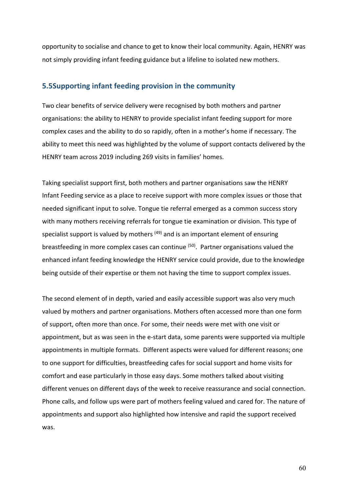opportunity to socialise and chance to get to know their local community. Again, HENRY was not simply providing infant feeding guidance but a lifeline to isolated new mothers.

#### **5.5Supporting infant feeding provision in the community**

Two clear benefits of service delivery were recognised by both mothers and partner organisations: the ability to HENRY to provide specialist infant feeding support for more complex cases and the ability to do so rapidly, often in a mother's home if necessary. The ability to meet this need was highlighted by the volume of support contacts delivered by the HENRY team across 2019 including 269 visits in families' homes.

Taking specialist support first, both mothers and partner organisations saw the HENRY Infant Feeding service as a place to receive support with more complex issues or those that needed significant input to solve. Tongue tie referral emerged as a common success story with many mothers receiving referrals for tongue tie examination or division. This type of specialist support is valued by mothers  $(49)$  and is an important element of ensuring breastfeeding in more complex cases can continue <sup>(50)</sup>. Partner organisations valued the enhanced infant feeding knowledge the HENRY service could provide, due to the knowledge being outside of their expertise or them not having the time to support complex issues.

The second element of in depth, varied and easily accessible support was also very much valued by mothers and partner organisations. Mothers often accessed more than one form of support, often more than once. For some, their needs were met with one visit or appointment, but as was seen in the e-start data, some parents were supported via multiple appointments in multiple formats. Different aspects were valued for different reasons; one to one support for difficulties, breastfeeding cafes for social support and home visits for comfort and ease particularly in those easy days. Some mothers talked about visiting different venues on different days of the week to receive reassurance and social connection. Phone calls, and follow ups were part of mothers feeling valued and cared for. The nature of appointments and support also highlighted how intensive and rapid the support received was.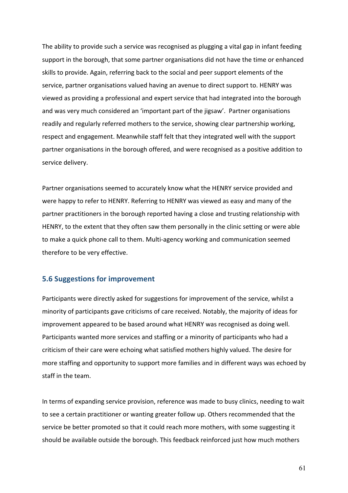The ability to provide such a service was recognised as plugging a vital gap in infant feeding support in the borough, that some partner organisations did not have the time or enhanced skills to provide. Again, referring back to the social and peer support elements of the service, partner organisations valued having an avenue to direct support to. HENRY was viewed as providing a professional and expert service that had integrated into the borough and was very much considered an 'important part of the jigsaw'. Partner organisations readily and regularly referred mothers to the service, showing clear partnership working, respect and engagement. Meanwhile staff felt that they integrated well with the support partner organisations in the borough offered, and were recognised as a positive addition to service delivery.

Partner organisations seemed to accurately know what the HENRY service provided and were happy to refer to HENRY. Referring to HENRY was viewed as easy and many of the partner practitioners in the borough reported having a close and trusting relationship with HENRY, to the extent that they often saw them personally in the clinic setting or were able to make a quick phone call to them. Multi-agency working and communication seemed therefore to be very effective.

#### **5.6 Suggestions for improvement**

Participants were directly asked for suggestions for improvement of the service, whilst a minority of participants gave criticisms of care received. Notably, the majority of ideas for improvement appeared to be based around what HENRY was recognised as doing well. Participants wanted more services and staffing or a minority of participants who had a criticism of their care were echoing what satisfied mothers highly valued. The desire for more staffing and opportunity to support more families and in different ways was echoed by staff in the team.

In terms of expanding service provision, reference was made to busy clinics, needing to wait to see a certain practitioner or wanting greater follow up. Others recommended that the service be better promoted so that it could reach more mothers, with some suggesting it should be available outside the borough. This feedback reinforced just how much mothers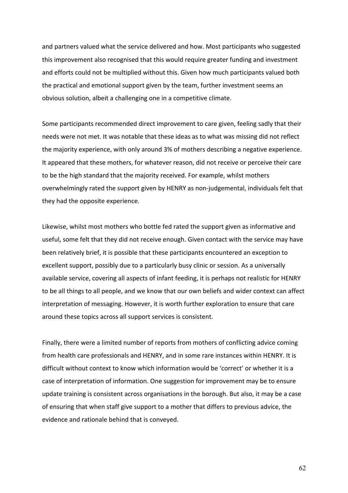and partners valued what the service delivered and how. Most participants who suggested this improvement also recognised that this would require greater funding and investment and efforts could not be multiplied without this. Given how much participants valued both the practical and emotional support given by the team, further investment seems an obvious solution, albeit a challenging one in a competitive climate.

Some participants recommended direct improvement to care given, feeling sadly that their needs were not met. It was notable that these ideas as to what was missing did not reflect the majority experience, with only around 3% of mothers describing a negative experience. It appeared that these mothers, for whatever reason, did not receive or perceive their care to be the high standard that the majority received. For example, whilst mothers overwhelmingly rated the support given by HENRY as non-judgemental, individuals felt that they had the opposite experience.

Likewise, whilst most mothers who bottle fed rated the support given as informative and useful, some felt that they did not receive enough. Given contact with the service may have been relatively brief, it is possible that these participants encountered an exception to excellent support, possibly due to a particularly busy clinic or session. As a universally available service, covering all aspects of infant feeding, it is perhaps not realistic for HENRY to be all things to all people, and we know that our own beliefs and wider context can affect interpretation of messaging. However, it is worth further exploration to ensure that care around these topics across all support services is consistent.

Finally, there were a limited number of reports from mothers of conflicting advice coming from health care professionals and HENRY, and in some rare instances within HENRY. It is difficult without context to know which information would be 'correct' or whether it is a case of interpretation of information. One suggestion for improvement may be to ensure update training is consistent across organisations in the borough. But also, it may be a case of ensuring that when staff give support to a mother that differs to previous advice, the evidence and rationale behind that is conveyed.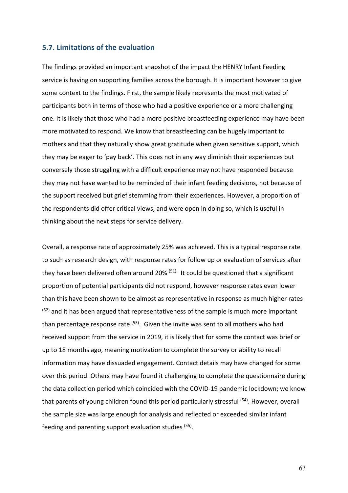#### **5.7. Limitations of the evaluation**

The findings provided an important snapshot of the impact the HENRY Infant Feeding service is having on supporting families across the borough. It is important however to give some context to the findings. First, the sample likely represents the most motivated of participants both in terms of those who had a positive experience or a more challenging one. It is likely that those who had a more positive breastfeeding experience may have been more motivated to respond. We know that breastfeeding can be hugely important to mothers and that they naturally show great gratitude when given sensitive support, which they may be eager to 'pay back'. This does not in any way diminish their experiences but conversely those struggling with a difficult experience may not have responded because they may not have wanted to be reminded of their infant feeding decisions, not because of the support received but grief stemming from their experiences. However, a proportion of the respondents did offer critical views, and were open in doing so, which is useful in thinking about the next steps for service delivery.

Overall, a response rate of approximately 25% was achieved. This is a typical response rate to such as research design, with response rates for follow up or evaluation of services after they have been delivered often around 20% <sup>(51).</sup> It could be questioned that a significant proportion of potential participants did not respond, however response rates even lower than this have been shown to be almost as representative in response as much higher rates  $(52)$  and it has been argued that representativeness of the sample is much more important than percentage response rate <sup>(53)</sup>. Given the invite was sent to all mothers who had received support from the service in 2019, it is likely that for some the contact was brief or up to 18 months ago, meaning motivation to complete the survey or ability to recall information may have dissuaded engagement. Contact details may have changed for some over this period. Others may have found it challenging to complete the questionnaire during the data collection period which coincided with the COVID-19 pandemic lockdown; we know that parents of young children found this period particularly stressful <sup>(54)</sup>. However, overall the sample size was large enough for analysis and reflected or exceeded similar infant feeding and parenting support evaluation studies (55).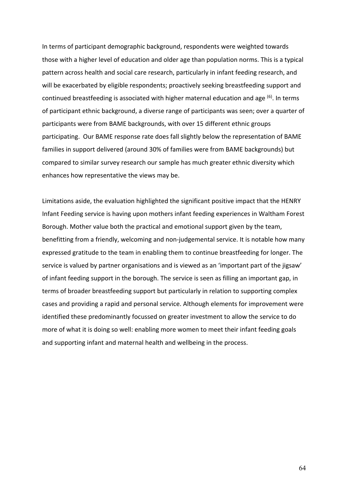In terms of participant demographic background, respondents were weighted towards those with a higher level of education and older age than population norms. This is a typical pattern across health and social care research, particularly in infant feeding research, and will be exacerbated by eligible respondents; proactively seeking breastfeeding support and continued breastfeeding is associated with higher maternal education and age  $^{(6)}$ . In terms of participant ethnic background, a diverse range of participants was seen; over a quarter of participants were from BAME backgrounds, with over 15 different ethnic groups participating. Our BAME response rate does fall slightly below the representation of BAME families in support delivered (around 30% of families were from BAME backgrounds) but compared to similar survey research our sample has much greater ethnic diversity which enhances how representative the views may be.

Limitations aside, the evaluation highlighted the significant positive impact that the HENRY Infant Feeding service is having upon mothers infant feeding experiences in Waltham Forest Borough. Mother value both the practical and emotional support given by the team, benefitting from a friendly, welcoming and non-judgemental service. It is notable how many expressed gratitude to the team in enabling them to continue breastfeeding for longer. The service is valued by partner organisations and is viewed as an 'important part of the jigsaw' of infant feeding support in the borough. The service is seen as filling an important gap, in terms of broader breastfeeding support but particularly in relation to supporting complex cases and providing a rapid and personal service. Although elements for improvement were identified these predominantly focussed on greater investment to allow the service to do more of what it is doing so well: enabling more women to meet their infant feeding goals and supporting infant and maternal health and wellbeing in the process.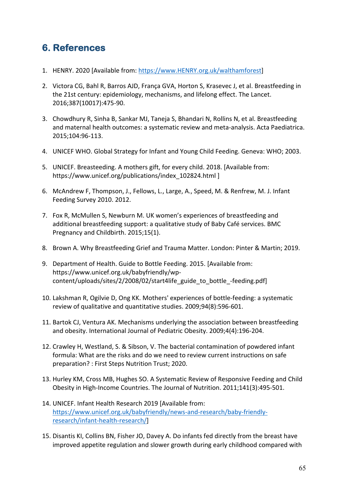# **6. References**

- 1. HENRY. 2020 [Available from: https://www.HENRY.org.uk/walthamforest]
- 2. Victora CG, Bahl R, Barros AJD, França GVA, Horton S, Krasevec J, et al. Breastfeeding in the 21st century: epidemiology, mechanisms, and lifelong effect. The Lancet. 2016;387(10017):475-90.
- 3. Chowdhury R, Sinha B, Sankar MJ, Taneja S, Bhandari N, Rollins N, et al. Breastfeeding and maternal health outcomes: a systematic review and meta-analysis. Acta Paediatrica. 2015;104:96-113.
- 4. UNICEF WHO. Global Strategy for Infant and Young Child Feeding. Geneva: WHO; 2003.
- 5. UNICEF. Breasteeding. A mothers gift, for every child. 2018. [Available from: https://www.unicef.org/publications/index\_102824.html ]
- 6. McAndrew F, Thompson, J., Fellows, L., Large, A., Speed, M. & Renfrew, M. J. Infant Feeding Survey 2010. 2012.
- 7. Fox R, McMullen S, Newburn M. UK women's experiences of breastfeeding and additional breastfeeding support: a qualitative study of Baby Café services. BMC Pregnancy and Childbirth. 2015;15(1).
- 8. Brown A. Why Breastfeeding Grief and Trauma Matter. London: Pinter & Martin; 2019.
- 9. Department of Health. Guide to Bottle Feeding. 2015. [Available from: https://www.unicef.org.uk/babyfriendly/wpcontent/uploads/sites/2/2008/02/start4life\_guide\_to\_bottle\_-feeding.pdf]
- 10. Lakshman R, Ogilvie D, Ong KK. Mothers' experiences of bottle-feeding: a systematic review of qualitative and quantitative studies. 2009;94(8):596-601.
- 11. Bartok CJ, Ventura AK. Mechanisms underlying the association between breastfeeding and obesity. International Journal of Pediatric Obesity. 2009;4(4):196-204.
- 12. Crawley H, Westland, S. & Sibson, V. The bacterial contamination of powdered infant formula: What are the risks and do we need to review current instructions on safe preparation? : First Steps Nutrition Trust; 2020.
- 13. Hurley KM, Cross MB, Hughes SO. A Systematic Review of Responsive Feeding and Child Obesity in High-Income Countries. The Journal of Nutrition. 2011;141(3):495-501.
- 14. UNICEF. Infant Health Research 2019 [Available from: https://www.unicef.org.uk/babyfriendly/news-and-research/baby-friendlyresearch/infant-health-research/]
- 15. Disantis KI, Collins BN, Fisher JO, Davey A. Do infants fed directly from the breast have improved appetite regulation and slower growth during early childhood compared with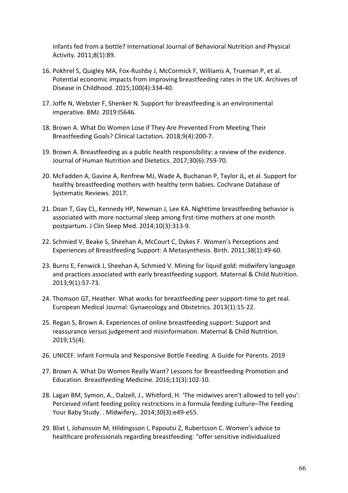infants fed from a bottle? International Journal of Behavioral Nutrition and Physical Activity. 2011;8(1):89.

- 16. Pokhrel S, Quigley MA, Fox-Rushby J, McCormick F, Williams A, Trueman P, et al. Potential economic impacts from improving breastfeeding rates in the UK. Archives of Disease in Childhood. 2015;100(4):334-40.
- 17. Joffe N, Webster F, Shenker N. Support for breastfeeding is an environmental imperative. BMJ. 2019:l5646.
- 18. Brown A. What Do Women Lose if They Are Prevented From Meeting Their Breastfeeding Goals? Clinical Lactation. 2018;9(4):200-7.
- 19. Brown A. Breastfeeding as a public health responsibility: a review of the evidence. Journal of Human Nutrition and Dietetics. 2017;30(6):759-70.
- 20. McFadden A, Gavine A, Renfrew MJ, Wade A, Buchanan P, Taylor JL, et al. Support for healthy breastfeeding mothers with healthy term babies. Cochrane Database of Systematic Reviews. 2017.
- 21. Doan T, Gay CL, Kennedy HP, Newman J, Lee KA. Nighttime breastfeeding behavior is associated with more nocturnal sleep among first-time mothers at one month postpartum. J Clin Sleep Med. 2014;10(3):313-9.
- 22. Schmied V, Beake S, Sheehan A, McCourt C, Dykes F. Women's Perceptions and Experiences of Breastfeeding Support: A Metasynthesis. Birth. 2011;38(1):49-60.
- 23. Burns E, Fenwick J, Sheehan A, Schmied V. Mining for liquid gold: midwifery language and practices associated with early breastfeeding support. Maternal & Child Nutrition. 2013;9(1):57-73.
- 24. Thomson GT, Heather. What works for breastfeeding peer support-time to get real. European Medical Journal: Gynaecology and Obstetrics. 2013(1):15-22.
- 25. Regan S, Brown A. Experiences of online breastfeeding support: Support and reassurance versus judgement and misinformation. Maternal & Child Nutrition. 2019;15(4).
- 26. UNICEF. Infant Formula and Responsive Bottle Feeding. A Guide for Parents. 2019
- 27. Brown A. What Do Women Really Want? Lessons for Breastfeeding Promotion and Education. Breastfeeding Medicine. 2016;11(3):102-10.
- 28. Lagan BM, Symon, A., Dalzell, J., Whitford, H. 'The midwives aren't allowed to tell you': Perceived infant feeding policy restrictions in a formula feeding culture–The Feeding Your Baby Study. . Midwifery,. 2014;30(3):e49-e55.
- 29. Blixt I, Johansson M, Hildingsson I, Papoutsi Z, Rubertsson C. Women's advice to healthcare professionals regarding breastfeeding: "offer sensitive individualized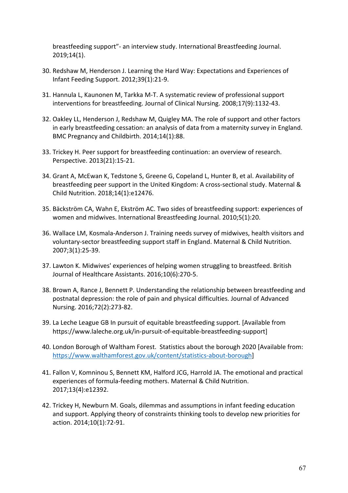breastfeeding support"- an interview study. International Breastfeeding Journal. 2019;14(1).

- 30. Redshaw M, Henderson J. Learning the Hard Way: Expectations and Experiences of Infant Feeding Support. 2012;39(1):21-9.
- 31. Hannula L, Kaunonen M, Tarkka M-T. A systematic review of professional support interventions for breastfeeding. Journal of Clinical Nursing. 2008;17(9):1132-43.
- 32. Oakley LL, Henderson J, Redshaw M, Quigley MA. The role of support and other factors in early breastfeeding cessation: an analysis of data from a maternity survey in England. BMC Pregnancy and Childbirth. 2014;14(1):88.
- 33. Trickey H. Peer support for breastfeeding continuation: an overview of research. Perspective. 2013(21):15-21.
- 34. Grant A, McEwan K, Tedstone S, Greene G, Copeland L, Hunter B, et al. Availability of breastfeeding peer support in the United Kingdom: A cross-sectional study. Maternal & Child Nutrition. 2018;14(1):e12476.
- 35. Bäckström CA, Wahn E, Ekström AC. Two sides of breastfeeding support: experiences of women and midwives. International Breastfeeding Journal. 2010;5(1):20.
- 36. Wallace LM, Kosmala-Anderson J. Training needs survey of midwives, health visitors and voluntary-sector breastfeeding support staff in England. Maternal & Child Nutrition. 2007;3(1):25-39.
- 37. Lawton K. Midwives' experiences of helping women struggling to breastfeed. British Journal of Healthcare Assistants. 2016;10(6):270-5.
- 38. Brown A, Rance J, Bennett P. Understanding the relationship between breastfeeding and postnatal depression: the role of pain and physical difficulties. Journal of Advanced Nursing. 2016;72(2):273-82.
- 39. La Leche League GB In pursuit of equitable breastfeeding support. [Available from https://www.laleche.org.uk/in-pursuit-of-equitable-breastfeeding-support]
- 40. London Borough of Waltham Forest. Statistics about the borough 2020 [Available from: https://www.walthamforest.gov.uk/content/statistics-about-borough]
- 41. Fallon V, Komninou S, Bennett KM, Halford JCG, Harrold JA. The emotional and practical experiences of formula-feeding mothers. Maternal & Child Nutrition. 2017;13(4):e12392.
- 42. Trickey H, Newburn M. Goals, dilemmas and assumptions in infant feeding education and support. Applying theory of constraints thinking tools to develop new priorities for action. 2014;10(1):72-91.